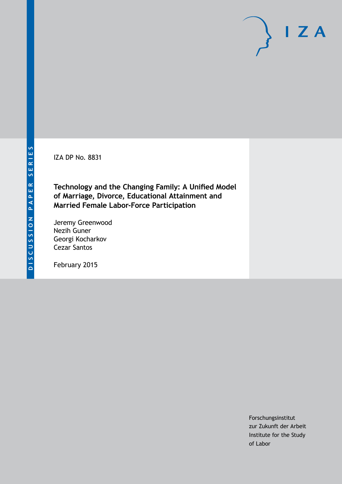IZA DP No. 8831

**Technology and the Changing Family: A Unified Model of Marriage, Divorce, Educational Attainment and Married Female Labor-Force Participation**

Jeremy Greenwood Nezih Guner Georgi Kocharkov Cezar Santos

February 2015

Forschungsinstitut zur Zukunft der Arbeit Institute for the Study of Labor

 $I Z A$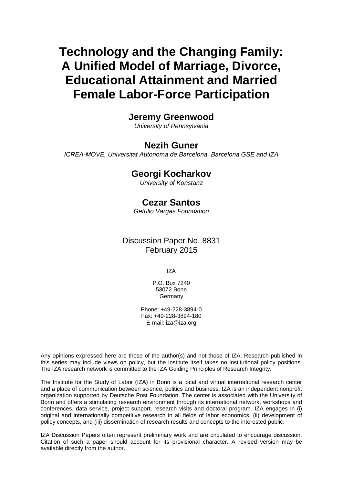# **Technology and the Changing Family: A Unified Model of Marriage, Divorce, Educational Attainment and Married Female Labor-Force Participation**

### **Jeremy Greenwood**

*University of Pennsylvania*

#### **Nezih Guner**

*ICREA-MOVE, Universitat Autonoma de Barcelona, Barcelona GSE and IZA*

## **Georgi Kocharkov**

*University of Konstanz*

### **Cezar Santos**

*Getulio Vargas Foundation*

### Discussion Paper No. 8831 February 2015

IZA

P.O. Box 7240 53072 Bonn Germany

Phone: +49-228-3894-0 Fax: +49-228-3894-180 E-mail: [iza@iza.org](mailto:iza@iza.org)

Any opinions expressed here are those of the author(s) and not those of IZA. Research published in this series may include views on policy, but the institute itself takes no institutional policy positions. The IZA research network is committed to the IZA Guiding Principles of Research Integrity.

The Institute for the Study of Labor (IZA) in Bonn is a local and virtual international research center and a place of communication between science, politics and business. IZA is an independent nonprofit organization supported by Deutsche Post Foundation. The center is associated with the University of Bonn and offers a stimulating research environment through its international network, workshops and conferences, data service, project support, research visits and doctoral program. IZA engages in (i) original and internationally competitive research in all fields of labor economics, (ii) development of policy concepts, and (iii) dissemination of research results and concepts to the interested public.

<span id="page-1-0"></span>IZA Discussion Papers often represent preliminary work and are circulated to encourage discussion. Citation of such a paper should account for its provisional character. A revised version may be available directly from the author.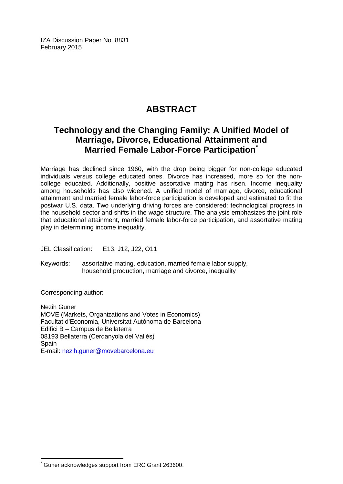IZA Discussion Paper No. 8831 February 2015

## **ABSTRACT**

## **Technology and the Changing Family: A Unified Model of Marriage, Divorce, Educational Attainment and Married Female Labor-Force Participation[\\*](#page-1-0)**

Marriage has declined since 1960, with the drop being bigger for non-college educated individuals versus college educated ones. Divorce has increased, more so for the noncollege educated. Additionally, positive assortative mating has risen. Income inequality among households has also widened. A unified model of marriage, divorce, educational attainment and married female labor-force participation is developed and estimated to fit the postwar U.S. data. Two underlying driving forces are considered: technological progress in the household sector and shifts in the wage structure. The analysis emphasizes the joint role that educational attainment, married female labor-force participation, and assortative mating play in determining income inequality.

JEL Classification: E13, J12, J22, O11

Keywords: assortative mating, education, married female labor supply, household production, marriage and divorce, inequality

Corresponding author:

Nezih Guner MOVE (Markets, Organizations and Votes in Economics) Facultat d'Economia, Universitat Autònoma de Barcelona Edifici B – Campus de Bellaterra 08193 Bellaterra (Cerdanyola del Vallès) **Spain** E-mail: [nezih.guner@movebarcelona.eu](mailto:nezih.guner@movebarcelona.eu)

Guner acknowledges support from ERC Grant 263600.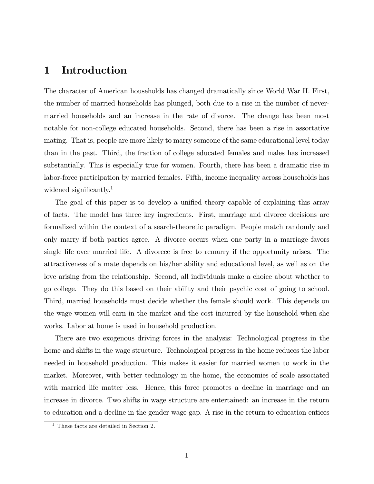### 1 Introduction

The character of American households has changed dramatically since World War II. First, the number of married households has plunged, both due to a rise in the number of nevermarried households and an increase in the rate of divorce. The change has been most notable for non-college educated households. Second, there has been a rise in assortative mating. That is, people are more likely to marry someone of the same educational level today than in the past. Third, the fraction of college educated females and males has increased substantially. This is especially true for women. Fourth, there has been a dramatic rise in labor-force participation by married females. Fifth, income inequality across households has widened significantly.<sup>1</sup>

The goal of this paper is to develop a unified theory capable of explaining this array of facts. The model has three key ingredients. First, marriage and divorce decisions are formalized within the context of a search-theoretic paradigm. People match randomly and only marry if both parties agree. A divorce occurs when one party in a marriage favors single life over married life. A divorcee is free to remarry if the opportunity arises. The attractiveness of a mate depends on his/her ability and educational level, as well as on the love arising from the relationship. Second, all individuals make a choice about whether to go college. They do this based on their ability and their psychic cost of going to school. Third, married households must decide whether the female should work. This depends on the wage women will earn in the market and the cost incurred by the household when she works. Labor at home is used in household production.

There are two exogenous driving forces in the analysis: Technological progress in the home and shifts in the wage structure. Technological progress in the home reduces the labor needed in household production. This makes it easier for married women to work in the market. Moreover, with better technology in the home, the economies of scale associated with married life matter less. Hence, this force promotes a decline in marriage and an increase in divorce. Two shifts in wage structure are entertained: an increase in the return to education and a decline in the gender wage gap. A rise in the return to education entices

<sup>&</sup>lt;sup>1</sup> These facts are detailed in Section 2.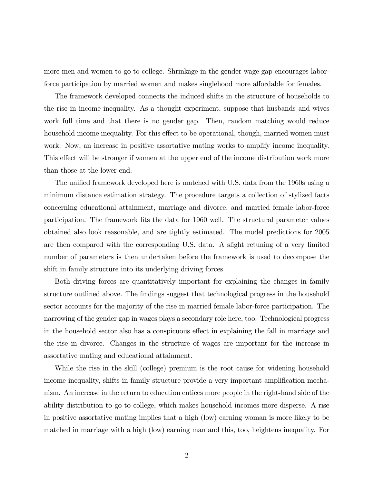more men and women to go to college. Shrinkage in the gender wage gap encourages laborforce participation by married women and makes singlehood more affordable for females.

The framework developed connects the induced shifts in the structure of households to the rise in income inequality. As a thought experiment, suppose that husbands and wives work full time and that there is no gender gap. Then, random matching would reduce household income inequality. For this effect to be operational, though, married women must work. Now, an increase in positive assortative mating works to amplify income inequality. This effect will be stronger if women at the upper end of the income distribution work more than those at the lower end.

The unified framework developed here is matched with U.S. data from the 1960s using a minimum distance estimation strategy. The procedure targets a collection of stylized facts concerning educational attainment, marriage and divorce, and married female labor-force participation. The framework fits the data for 1960 well. The structural parameter values obtained also look reasonable, and are tightly estimated. The model predictions for 2005 are then compared with the corresponding U.S. data. A slight retuning of a very limited number of parameters is then undertaken before the framework is used to decompose the shift in family structure into its underlying driving forces.

Both driving forces are quantitatively important for explaining the changes in family structure outlined above. The findings suggest that technological progress in the household sector accounts for the majority of the rise in married female labor-force participation. The narrowing of the gender gap in wages plays a secondary role here, too. Technological progress in the household sector also has a conspicuous effect in explaining the fall in marriage and the rise in divorce. Changes in the structure of wages are important for the increase in assortative mating and educational attainment.

While the rise in the skill (college) premium is the root cause for widening household income inequality, shifts in family structure provide a very important amplification mechanism. An increase in the return to education entices more people in the right-hand side of the ability distribution to go to college, which makes household incomes more disperse. A rise in positive assortative mating implies that a high (low) earning woman is more likely to be matched in marriage with a high (low) earning man and this, too, heightens inequality. For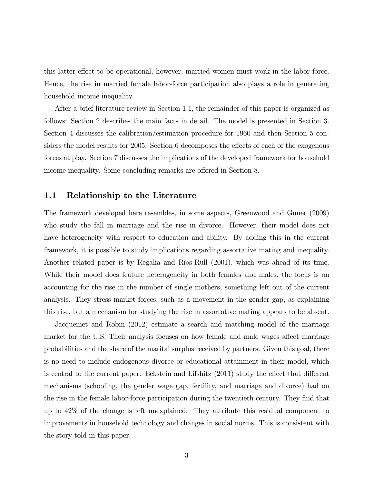this latter effect to be operational, however, married women must work in the labor force. Hence, the rise in married female labor-force participation also plays a role in generating household income inequality.

After a brief literature review in Section 1.1, the remainder of this paper is organized as follows: Section 2 describes the main facts in detail. The model is presented in Section 3. Section 4 discusses the calibration/estimation procedure for 1960 and then Section 5 considers the model results for  $2005$ . Section 6 decomposes the effects of each of the exogenous forces at play. Section 7 discusses the implications of the developed framework for household income inequality. Some concluding remarks are offered in Section 8.

#### 1.1 Relationship to the Literature

The framework developed here resembles, in some aspects, Greenwood and Guner (2009) who study the fall in marriage and the rise in divorce. However, their model does not have heterogeneity with respect to education and ability. By adding this in the current framework, it is possible to study implications regarding assortative mating and inequality. Another related paper is by Regalia and Ríos-Rull (2001), which was ahead of its time. While their model does feature heterogeneity in both females and males, the focus is on accounting for the rise in the number of single mothers, something left out of the current analysis. They stress market forces, such as a movement in the gender gap, as explaining this rise, but a mechanism for studying the rise in assortative mating appears to be absent.

Jacquemet and Robin (2012) estimate a search and matching model of the marriage market for the U.S. Their analysis focuses on how female and male wages affect marriage probabilities and the share of the marital surplus received by partners. Given this goal, there is no need to include endogenous divorce or educational attainment in their model, which is central to the current paper. Eckstein and Lifshitz  $(2011)$  study the effect that different mechanisms (schooling, the gender wage gap, fertility, and marriage and divorce) had on the rise in the female labor-force participation during the twentieth century. They find that up to 42% of the change is left unexplained. They attribute this residual component to improvements in household technology and changes in social norms. This is consistent with the story told in this paper.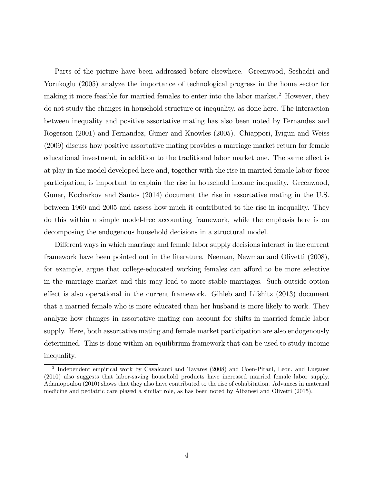Parts of the picture have been addressed before elsewhere. Greenwood, Seshadri and Yorukoglu (2005) analyze the importance of technological progress in the home sector for making it more feasible for married females to enter into the labor market.<sup>2</sup> However, they do not study the changes in household structure or inequality, as done here. The interaction between inequality and positive assortative mating has also been noted by Fernandez and Rogerson (2001) and Fernandez, Guner and Knowles (2005). Chiappori, Iyigun and Weiss (2009) discuss how positive assortative mating provides a marriage market return for female educational investment, in addition to the traditional labor market one. The same effect is at play in the model developed here and, together with the rise in married female labor-force participation, is important to explain the rise in household income inequality. Greenwood, Guner, Kocharkov and Santos (2014) document the rise in assortative mating in the U.S. between 1960 and 2005 and assess how much it contributed to the rise in inequality. They do this within a simple model-free accounting framework, while the emphasis here is on decomposing the endogenous household decisions in a structural model.

Different ways in which marriage and female labor supply decisions interact in the current framework have been pointed out in the literature. Neeman, Newman and Olivetti (2008), for example, argue that college-educated working females can afford to be more selective in the marriage market and this may lead to more stable marriages. Such outside option effect is also operational in the current framework. Gihleb and Lifshitz  $(2013)$  document that a married female who is more educated than her husband is more likely to work. They analyze how changes in assortative mating can account for shifts in married female labor supply. Here, both assortative mating and female market participation are also endogenously determined. This is done within an equilibrium framework that can be used to study income inequality.

<sup>&</sup>lt;sup>2</sup> Independent empirical work by Cavalcanti and Tavares (2008) and Coen-Pirani, Leon, and Lugauer (2010) also suggests that labor-saving household products have increased married female labor supply. Adamopoulou (2010) shows that they also have contributed to the rise of cohabitation. Advances in maternal medicine and pediatric care played a similar role, as has been noted by Albanesi and Olivetti (2015).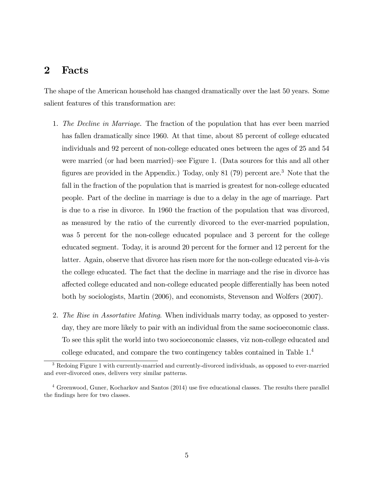## 2 Facts

The shape of the American household has changed dramatically over the last 50 years. Some salient features of this transformation are:

- 1. The Decline in Marriage. The fraction of the population that has ever been married has fallen dramatically since 1960. At that time, about 85 percent of college educated individuals and 92 percent of non-college educated ones between the ages of 25 and 54 were married (or had been married)–see Figure 1. (Data sources for this and all other figures are provided in the Appendix.) Today, only  $81$  (79) percent are.<sup>3</sup> Note that the fall in the fraction of the population that is married is greatest for non-college educated people. Part of the decline in marriage is due to a delay in the age of marriage. Part is due to a rise in divorce. In 1960 the fraction of the population that was divorced, as measured by the ratio of the currently divorced to the ever-married population, was 5 percent for the non-college educated populace and 3 percent for the college educated segment. Today, it is around 20 percent for the former and 12 percent for the latter. Again, observe that divorce has risen more for the non-college educated vis- $\dot{a}$ -vis the college educated. The fact that the decline in marriage and the rise in divorce has affected college educated and non-college educated people differentially has been noted both by sociologists, Martin (2006), and economists, Stevenson and Wolfers (2007).
- 2. The Rise in Assortative Mating. When individuals marry today, as opposed to yesterday, they are more likely to pair with an individual from the same socioeconomic class. To see this split the world into two socioeconomic classes, viz non-college educated and college educated, and compare the two contingency tables contained in Table 1.<sup>4</sup>

 $3$  Redoing Figure 1 with currently-married and currently-divorced individuals, as opposed to ever-married and ever-divorced ones, delivers very similar patterns.

 $4$  Greenwood, Guner, Kocharkov and Santos (2014) use five educational classes. The results there parallel the findings here for two classes.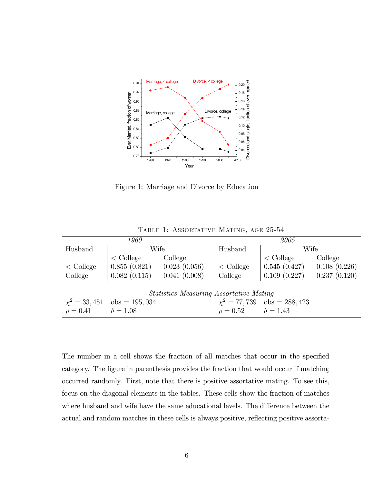

Figure 1: Marriage and Divorce by Education

|                   | 1960              |                                                | 2005                          |                                 |              |  |  |
|-------------------|-------------------|------------------------------------------------|-------------------------------|---------------------------------|--------------|--|--|
| Husband           | Wife              |                                                | Husband                       | Wife                            |              |  |  |
|                   | $\langle$ College | College                                        |                               | $\langle$ College               | College      |  |  |
| $\langle$ College | 0.855(0.821)      | 0.023(0.056)                                   | $\langle$ College             | 0.545(0.427)                    | 0.108(0.226) |  |  |
| College           | 0.082(0.115)      | 0.041(0.008)                                   | College                       | 0.109(0.227)                    | 0.237(0.120) |  |  |
|                   |                   |                                                |                               |                                 |              |  |  |
|                   |                   | <i>Statistics Measuring Assortative Mating</i> |                               |                                 |              |  |  |
| $\chi^2 = 33,451$ | $obs = 195,034$   |                                                |                               | $\chi^2 = 77,739$ obs = 288,423 |              |  |  |
| $\rho = 0.41$     | $\delta = 1.08$   |                                                | $\rho = 0.52$ $\delta = 1.43$ |                                 |              |  |  |

Table 1: Assortative Mating, age 25-54

The number in a cell shows the fraction of all matches that occur in the specified category. The figure in parenthesis provides the fraction that would occur if matching occurred randomly. First, note that there is positive assortative mating. To see this, focus on the diagonal elements in the tables. These cells show the fraction of matches where husband and wife have the same educational levels. The difference between the actual and random matches in these cells is always positive, reflecting positive assorta-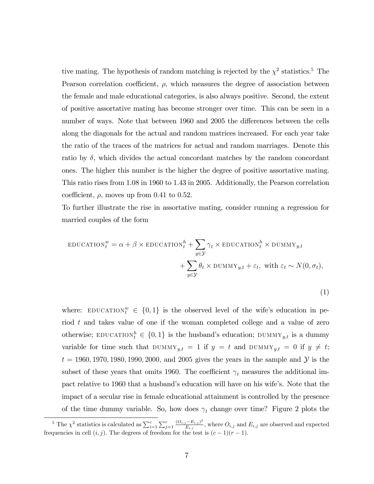tive mating. The hypothesis of random matching is rejected by the  $\chi^2$  statistics.<sup>5</sup> The Pearson correlation coefficient,  $\rho$ , which measures the degree of association between the female and male educational categories, is also always positive. Second, the extent of positive assortative mating has become stronger over time. This can be seen in a number of ways. Note that between 1960 and 2005 the differences between the cells along the diagonals for the actual and random matrices increased. For each year take the ratio of the traces of the matrices for actual and random marriages. Denote this ratio by  $\delta$ , which divides the actual concordant matches by the random concordant ones. The higher this number is the higher the degree of positive assortative mating. This ratio rises from 1.08 in 1960 to 1.43 in 2005. Additionally, the Pearson correlation coefficient,  $\rho$ , moves up from 0.41 to 0.52.

To further illustrate the rise in assortative mating, consider running a regression for married couples of the form

$$
\text{EDUCATION}_{t}^{w} = \alpha + \beta \times \text{EDUCATION}_{t}^{h} + \sum_{y \in \mathcal{Y}} \gamma_{t} \times \text{EDUCATION}_{t}^{h} \times \text{DUMMY}_{y,t} + \sum_{y \in \mathcal{Y}} \theta_{t} \times \text{DUMMY}_{y,t} + \varepsilon_{t}, \text{ with } \varepsilon_{t} \sim N(0, \sigma_{t}),
$$
\n(1)

where: EDUCATION<sup>w</sup>  $\in \{0, 1\}$  is the observed level of the wife's education in period t and takes value of one if the woman completed college and a value of zero otherwise; EDUCATION $_t^h \in \{0, 1\}$  is the husband's education; DUMMY<sub>y,t</sub> is a dummy variable for time such that  $\text{DUMMY}_{y,t} = 1$  if  $y = t$  and  $\text{DUMMY}_{y,t} = 0$  if  $y \neq t$ ;  $t = 1960, 1970, 1980, 1990, 2000,$  and 2005 gives the years in the sample and  $\mathcal{Y}$  is the subset of these years that omits 1960. The coefficient  $\gamma_t$  measures the additional impact relative to 1960 that a husband's education will have on his wife's. Note that the impact of a secular rise in female educational attainment is controlled by the presence of the time dummy variable. So, how does  $\gamma_t$  change over time? Figure 2 plots the

<sup>&</sup>lt;sup>5</sup> The  $\chi^2$  statistics is calculated as  $\sum_{i=1}^c \sum_{j=1}^r \frac{(O_{i,j} - E_{i,j})^2}{E_{i,j}}$  $\frac{i - E_{i,j}}{E_{i,j}}$ , where  $O_{i,j}$  and  $E_{i,j}$  are observed and expected frequencies in cell  $(i, j)$ . The degrees of freedom for the test is  $(c - 1)(r - 1)$ .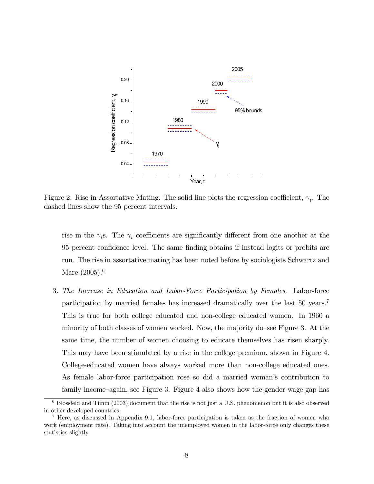

Figure 2: Rise in Assortative Mating. The solid line plots the regression coefficient,  $\gamma_t$ . The dashed lines show the 95 percent intervals.

rise in the  $\gamma_t$ s. The  $\gamma_t$  coefficients are significantly different from one another at the 95 percent confidence level. The same finding obtains if instead logits or probits are run. The rise in assortative mating has been noted before by sociologists Schwartz and Mare  $(2005)^6$ 

3. The Increase in Education and Labor-Force Participation by Females. Labor-force participation by married females has increased dramatically over the last 50 years.<sup>7</sup> This is true for both college educated and non-college educated women. In 1960 a minority of both classes of women worked. Now, the majority do-see Figure 3. At the same time, the number of women choosing to educate themselves has risen sharply. This may have been stimulated by a rise in the college premium, shown in Figure 4. College-educated women have always worked more than non-college educated ones. As female labor-force participation rose so did a married woman's contribution to family income–again, see Figure 3. Figure 4 also shows how the gender wage gap has

 $6$  Blossfeld and Timm (2003) document that the rise is not just a U.S. phenomenon but it is also observed in other developed countries.

<sup>7</sup> Here, as discussed in Appendix 9.1, labor-force participation is taken as the fraction of women who work (employment rate). Taking into account the unemployed women in the labor-force only changes these statistics slightly.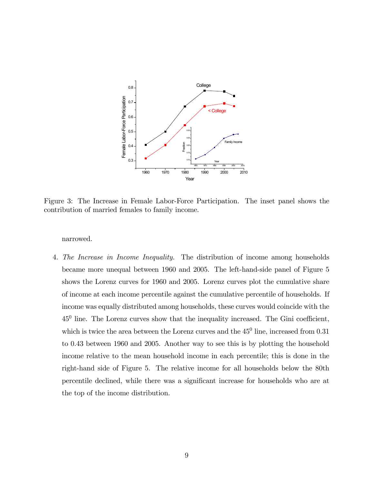

Figure 3: The Increase in Female Labor-Force Participation. The inset panel shows the contribution of married females to family income.

narrowed.

4. The Increase in Income Inequality. The distribution of income among households became more unequal between 1960 and 2005. The left-hand-side panel of Figure 5 shows the Lorenz curves for 1960 and 2005. Lorenz curves plot the cumulative share of income at each income percentile against the cumulative percentile of households. If income was equally distributed among households, these curves would coincide with the  $45<sup>0</sup>$  line. The Lorenz curves show that the inequality increased. The Gini coefficient, which is twice the area between the Lorenz curves and the  $45^0$  line, increased from  $0.31$ to 0.43 between 1960 and 2005. Another way to see this is by plotting the household income relative to the mean household income in each percentile; this is done in the right-hand side of Figure 5. The relative income for all households below the 80th percentile declined, while there was a signiÖcant increase for households who are at the top of the income distribution.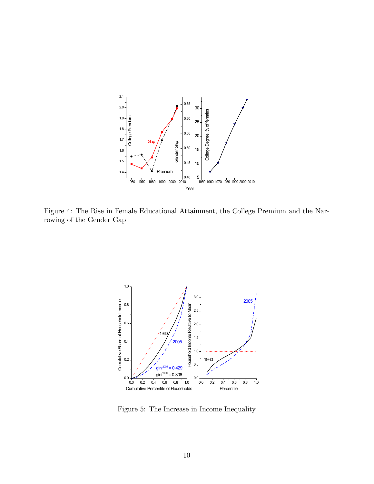

Figure 4: The Rise in Female Educational Attainment, the College Premium and the Narrowing of the Gender Gap



Figure 5: The Increase in Income Inequality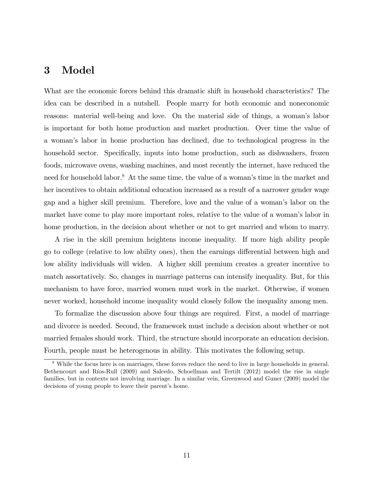## 3 Model

What are the economic forces behind this dramatic shift in household characteristics? The idea can be described in a nutshell. People marry for both economic and noneconomic reasons: material well-being and love. On the material side of things, a womanís labor is important for both home production and market production. Over time the value of a womanís labor in home production has declined, due to technological progress in the household sector. Specifically, inputs into home production, such as dishwashers, frozen foods, microwave ovens, washing machines, and most recently the internet, have reduced the need for household labor.<sup>8</sup> At the same time, the value of a woman's time in the market and her incentives to obtain additional education increased as a result of a narrower gender wage gap and a higher skill premium. Therefore, love and the value of a womanís labor on the market have come to play more important roles, relative to the value of a woman's labor in home production, in the decision about whether or not to get married and whom to marry.

A rise in the skill premium heightens income inequality. If more high ability people go to college (relative to low ability ones), then the earnings differential between high and low ability individuals will widen. A higher skill premium creates a greater incentive to match assortatively. So, changes in marriage patterns can intensify inequality. But, for this mechanism to have force, married women must work in the market. Otherwise, if women never worked, household income inequality would closely follow the inequality among men.

To formalize the discussion above four things are required. First, a model of marriage and divorce is needed. Second, the framework must include a decision about whether or not married females should work. Third, the structure should incorporate an education decision. Fourth, people must be heterogenous in ability. This motivates the following setup.

<sup>&</sup>lt;sup>8</sup> While the focus here is on marriages, these forces reduce the need to live in large households in general. Bethencourt and Ríos-Rull (2009) and Salcedo, Schoellman and Tertilt (2012) model the rise in single families, but in contexts not involving marriage. In a similar vein, Greenwood and Guner (2009) model the decisions of young people to leave their parent's home.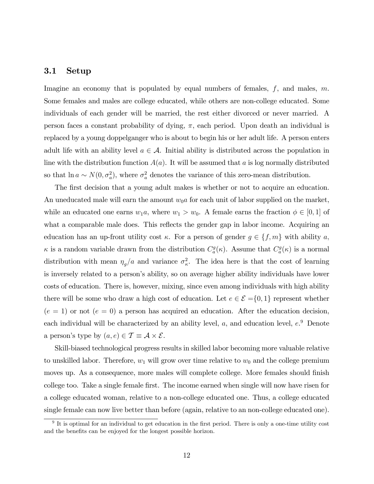#### 3.1 Setup

Imagine an economy that is populated by equal numbers of females,  $f$ , and males,  $m$ . Some females and males are college educated, while others are non-college educated. Some individuals of each gender will be married, the rest either divorced or never married. A person faces a constant probability of dying,  $\pi$ , each period. Upon death an individual is replaced by a young doppelganger who is about to begin his or her adult life. A person enters adult life with an ability level  $a \in \mathcal{A}$ . Initial ability is distributed across the population in line with the distribution function  $A(a)$ . It will be assumed that a is log normally distributed so that  $\ln a \sim N(0, \sigma_a^2)$ , where  $\sigma_a^2$  denotes the variance of this zero-mean distribution.

The first decision that a young adult makes is whether or not to acquire an education. An uneducated male will earn the amount  $w_0a$  for each unit of labor supplied on the market, while an educated one earns  $w_1a$ , where  $w_1 > w_0$ . A female earns the fraction  $\phi \in [0,1]$  of what a comparable male does. This reflects the gender gap in labor income. Acquiring an education has an up-front utility cost  $\kappa$ . For a person of gender  $g \in \{f, m\}$  with ability a,  $\kappa$  is a random variable drawn from the distribution  $C_a^g(\kappa)$ . Assume that  $C_a^g(\kappa)$  is a normal distribution with mean  $\eta_g/a$  and variance  $\sigma_{\kappa}^2$ . The idea here is that the cost of learning is inversely related to a personís ability, so on average higher ability individuals have lower costs of education. There is, however, mixing, since even among individuals with high ability there will be some who draw a high cost of education. Let  $e \in \mathcal{E} = \{0, 1\}$  represent whether  $(e = 1)$  or not  $(e = 0)$  a person has acquired an education. After the education decision, each individual will be characterized by an ability level,  $a$ , and education level,  $e^{\theta}$ . Denote a person's type by  $(a, e) \in \mathcal{T} \equiv \mathcal{A} \times \mathcal{E}$ .

Skill-biased technological progress results in skilled labor becoming more valuable relative to unskilled labor. Therefore,  $w_1$  will grow over time relative to  $w_0$  and the college premium moves up. As a consequence, more males will complete college. More females should finish college too. Take a single female first. The income earned when single will now have risen for a college educated woman, relative to a non-college educated one. Thus, a college educated single female can now live better than before (again, relative to an non-college educated one).

<sup>&</sup>lt;sup>9</sup> It is optimal for an individual to get education in the first period. There is only a one-time utility cost and the benefits can be enjoyed for the longest possible horizon.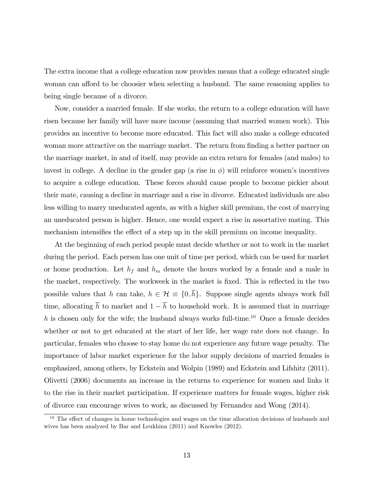The extra income that a college education now provides means that a college educated single woman can afford to be choosier when selecting a husband. The same reasoning applies to being single because of a divorce.

Now, consider a married female. If she works, the return to a college education will have risen because her family will have more income (assuming that married women work). This provides an incentive to become more educated. This fact will also make a college educated woman more attractive on the marriage market. The return from finding a better partner on the marriage market, in and of itself, may provide an extra return for females (and males) to invest in college. A decline in the gender gap (a rise in  $\phi$ ) will reinforce women's incentives to acquire a college education. These forces should cause people to become pickier about their mate, causing a decline in marriage and a rise in divorce. Educated individuals are also less willing to marry uneducated agents, as with a higher skill premium, the cost of marrying an uneducated person is higher. Hence, one would expect a rise in assortative mating. This mechanism intensifies the effect of a step up in the skill premium on income inequality.

At the beginning of each period people must decide whether or not to work in the market during the period. Each person has one unit of time per period, which can be used for market or home production. Let  $h_f$  and  $h_m$  denote the hours worked by a female and a male in the market, respectively. The workweek in the market is fixed. This is reflected in the two possible values that h can take,  $h \in \mathcal{H} \equiv \{0, \overline{h}\}\.$  Suppose single agents always work full time, allocating  $\overline{h}$  to market and  $1 - \overline{h}$  to household work. It is assumed that in marriage h is chosen only for the wife; the husband always works full-time.<sup>10</sup> Once a female decides whether or not to get educated at the start of her life, her wage rate does not change. In particular, females who choose to stay home do not experience any future wage penalty. The importance of labor market experience for the labor supply decisions of married females is emphasized, among others, by Eckstein and Wolpin (1989) and Eckstein and Lifshitz (2011). Olivetti (2006) documents an increase in the returns to experience for women and links it to the rise in their market participation. If experience matters for female wages, higher risk of divorce can encourage wives to work, as discussed by Fernandez and Wong (2014).

 $10$  The effect of changes in home technologies and wages on the time allocation decisions of husbands and wives has been analyzed by Bar and Leukhina (2011) and Knowles (2012).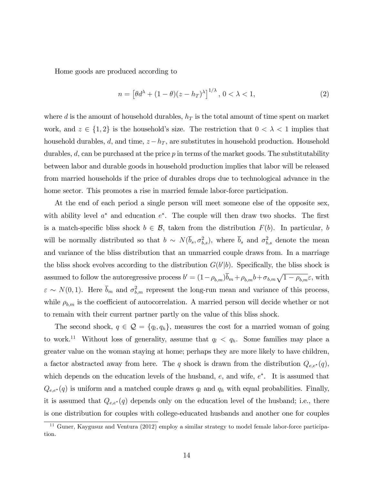Home goods are produced according to

$$
n = \left[\theta d^{\lambda} + (1 - \theta)(z - h_T)^{\lambda}\right]^{1/\lambda}, \ 0 < \lambda < 1,\tag{2}
$$

where d is the amount of household durables,  $h_T$  is the total amount of time spent on market work, and  $z \in \{1, 2\}$  is the household's size. The restriction that  $0 < \lambda < 1$  implies that household durables, d, and time,  $z - h_T$ , are substitutes in household production. Household durables,  $d$ , can be purchased at the price  $p$  in terms of the market goods. The substitutability between labor and durable goods in household production implies that labor will be released from married households if the price of durables drops due to technological advance in the home sector. This promotes a rise in married female labor-force participation.

At the end of each period a single person will meet someone else of the opposite sex, with ability level  $a^*$  and education  $e^*$ . The couple will then draw two shocks. The first is a match-specific bliss shock  $b \in \mathcal{B}$ , taken from the distribution  $F(b)$ . In particular, b will be normally distributed so that  $b \sim N(\bar{b}_s, \sigma_{b,s}^2)$ , where  $\bar{b}_s$  and  $\sigma_{b,s}^2$  denote the mean and variance of the bliss distribution that an unmarried couple draws from. In a marriage the bliss shock evolves according to the distribution  $G(b'|b)$ . Specifically, the bliss shock is assumed to follow the autoregressive process  $b' = (1-\rho_{b,m})\bar{b}_m + \rho_{b,m}b+\sigma_{b,m}\sqrt{1-\rho_{b,m}}\varepsilon$ , with  $\varepsilon \sim N(0, 1)$ . Here  $\bar{b}_m$  and  $\sigma_{b,m}^2$  represent the long-run mean and variance of this process, while  $\rho_{b,m}$  is the coefficient of autocorrelation. A married person will decide whether or not to remain with their current partner partly on the value of this bliss shock.

The second shock,  $q \in \mathcal{Q} = \{q_l, q_h\}$ , measures the cost for a married woman of going to work.<sup>11</sup> Without loss of generality, assume that  $q_l < q_h$ . Some families may place a greater value on the woman staying at home; perhaps they are more likely to have children, a factor abstracted away from here. The q shock is drawn from the distribution  $Q_{e,e^*}(q)$ , which depends on the education levels of the husband,  $e$ , and wife,  $e^*$ . It is assumed that  $Q_{e,e^*}(q)$  is uniform and a matched couple draws  $q_l$  and  $q_h$  with equal probabilities. Finally, it is assumed that  $Q_{e,e^*}(q)$  depends only on the education level of the husband; i.e., there is one distribution for couples with college-educated husbands and another one for couples

<sup>&</sup>lt;sup>11</sup> Guner, Kaygusuz and Ventura (2012) employ a similar strategy to model female labor-force participation.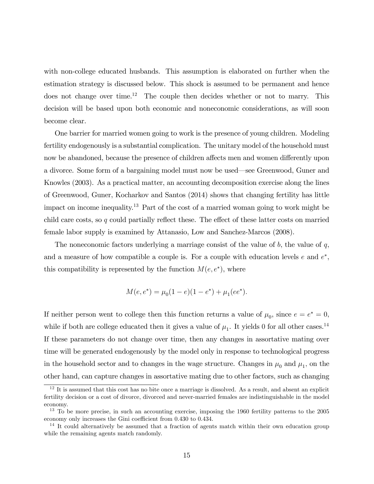with non-college educated husbands. This assumption is elaborated on further when the estimation strategy is discussed below. This shock is assumed to be permanent and hence does not change over time.<sup>12</sup> The couple then decides whether or not to marry. This decision will be based upon both economic and noneconomic considerations, as will soon become clear.

One barrier for married women going to work is the presence of young children. Modeling fertility endogenously is a substantial complication. The unitary model of the household must now be abandoned, because the presence of children affects men and women differently upon a divorce. Some form of a bargaining model must now be used—see Greenwood, Guner and Knowles (2003). As a practical matter, an accounting decomposition exercise along the lines of Greenwood, Guner, Kocharkov and Santos (2014) shows that changing fertility has little impact on income inequality.<sup>13</sup> Part of the cost of a married woman going to work might be child care costs, so  $q$  could partially reflect these. The effect of these latter costs on married female labor supply is examined by Attanasio, Low and Sanchez-Marcos (2008).

The noneconomic factors underlying a marriage consist of the value of  $b$ , the value of  $q$ , and a measure of how compatible a couple is. For a couple with education levels  $e$  and  $e^*$ , this compatibility is represented by the function  $M(e, e^*)$ , where

$$
M(e, e^*) = \mu_0(1 - e)(1 - e^*) + \mu_1(ee^*).
$$

If neither person went to college then this function returns a value of  $\mu_0$ , since  $e = e^* = 0$ , while if both are college educated then it gives a value of  $\mu_1$ . It yields 0 for all other cases.<sup>14</sup> If these parameters do not change over time, then any changes in assortative mating over time will be generated endogenously by the model only in response to technological progress in the household sector and to changes in the wage structure. Changes in  $\mu_0$  and  $\mu_1$ , on the other hand, can capture changes in assortative mating due to other factors, such as changing

<sup>&</sup>lt;sup>12</sup> It is assumed that this cost has no bite once a marriage is dissolved. As a result, and absent an explicit fertility decision or a cost of divorce, divorced and never-married females are indistinguishable in the model economy.

<sup>&</sup>lt;sup>13</sup> To be more precise, in such an accounting exercise, imposing the 1960 fertility patterns to the 2005 economy only increases the Gini coefficient from 0.430 to 0.434.

<sup>&</sup>lt;sup>14</sup> It could alternatively be assumed that a fraction of agents match within their own education group while the remaining agents match randomly.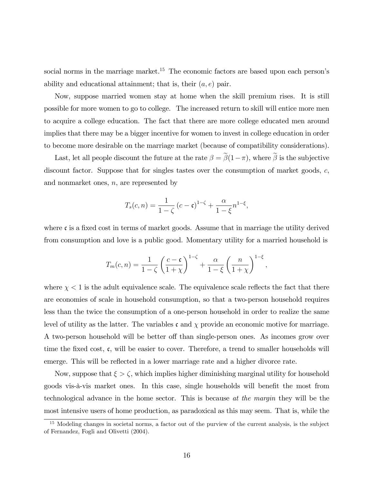social norms in the marriage market.<sup>15</sup> The economic factors are based upon each person's ability and educational attainment; that is, their  $(a, e)$  pair.

Now, suppose married women stay at home when the skill premium rises. It is still possible for more women to go to college. The increased return to skill will entice more men to acquire a college education. The fact that there are more college educated men around implies that there may be a bigger incentive for women to invest in college education in order to become more desirable on the marriage market (because of compatibility considerations).

Last, let all people discount the future at the rate  $\beta = \tilde{\beta}(1-\pi)$ , where  $\tilde{\beta}$  is the subjective discount factor. Suppose that for singles tastes over the consumption of market goods, c, and nonmarket ones,  $n$ , are represented by

$$
T_s(c, n) = \frac{1}{1 - \zeta} (c - \mathfrak{c})^{1 - \zeta} + \frac{\alpha}{1 - \xi} n^{1 - \xi},
$$

where  $\mathfrak c$  is a fixed cost in terms of market goods. Assume that in marriage the utility derived from consumption and love is a public good. Momentary utility for a married household is

$$
T_m(c,n) = \frac{1}{1-\zeta} \left(\frac{c-\mathfrak{c}}{1+\chi}\right)^{1-\zeta} + \frac{\alpha}{1-\xi} \left(\frac{n}{1+\chi}\right)^{1-\xi},
$$

where  $\chi$  < 1 is the adult equivalence scale. The equivalence scale reflects the fact that there are economies of scale in household consumption, so that a two-person household requires less than the twice the consumption of a one-person household in order to realize the same level of utility as the latter. The variables c and  $\chi$  provide an economic motive for marriage. A two-person household will be better of than single-person ones. As incomes grow over time the fixed cost,  $\mathfrak{c}$ , will be easier to cover. Therefore, a trend to smaller households will emerge. This will be reflected in a lower marriage rate and a higher divorce rate.

Now, suppose that  $\xi > \zeta$ , which implies higher diminishing marginal utility for household goods vis- $\alpha$ -vis market ones. In this case, single households will benefit the most from technological advance in the home sector. This is because at the margin they will be the most intensive users of home production, as paradoxical as this may seem. That is, while the

 $15$  Modeling changes in societal norms, a factor out of the purview of the current analysis, is the subject of Fernandez, Fogli and Olivetti (2004).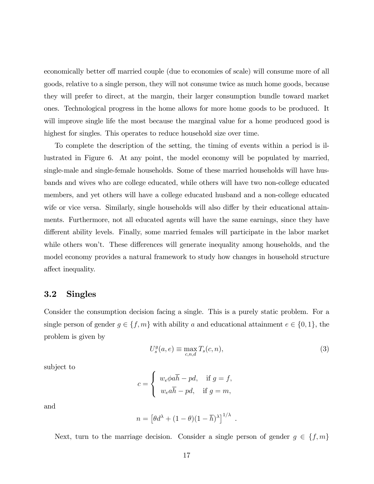economically better off married couple (due to economies of scale) will consume more of all goods, relative to a single person, they will not consume twice as much home goods, because they will prefer to direct, at the margin, their larger consumption bundle toward market ones. Technological progress in the home allows for more home goods to be produced. It will improve single life the most because the marginal value for a home produced good is highest for singles. This operates to reduce household size over time.

To complete the description of the setting, the timing of events within a period is illustrated in Figure 6. At any point, the model economy will be populated by married, single-male and single-female households. Some of these married households will have husbands and wives who are college educated, while others will have two non-college educated members, and yet others will have a college educated husband and a non-college educated wife or vice versa. Similarly, single households will also differ by their educational attainments. Furthermore, not all educated agents will have the same earnings, since they have different ability levels. Finally, some married females will participate in the labor market while others won't. These differences will generate inequality among households, and the model economy provides a natural framework to study how changes in household structure affect inequality.

#### 3.2 Singles

Consider the consumption decision facing a single. This is a purely static problem. For a single person of gender  $g \in \{f, m\}$  with ability a and educational attainment  $e \in \{0, 1\}$ , the problem is given by

$$
U_s^g(a, e) \equiv \max_{c, n, d} T_s(c, n),\tag{3}
$$

subject to

$$
c = \begin{cases} w_e \phi a \overline{h} - p d, & \text{if } g = f, \\ w_e a \overline{h} - p d, & \text{if } g = m, \end{cases}
$$

and

$$
n = \left[\theta d^{\lambda} + (1 - \theta)(1 - \overline{h})^{\lambda}\right]^{1/\lambda}.
$$

Next, turn to the marriage decision. Consider a single person of gender  $g \in \{f, m\}$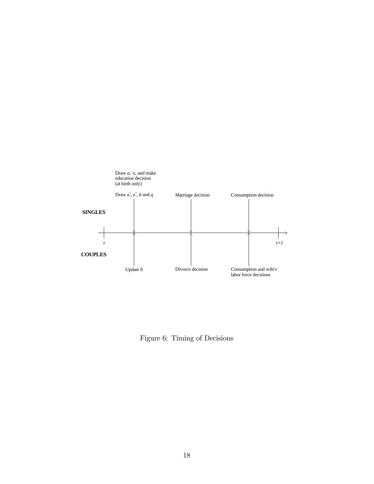

Figure 6: Timing of Decisions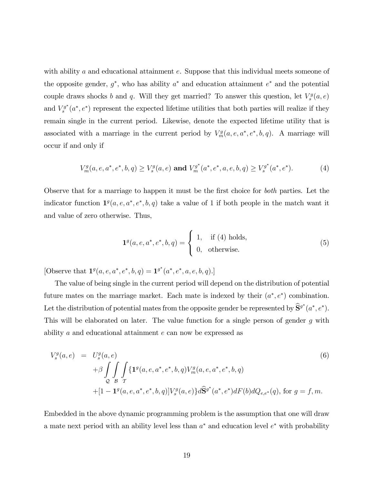with ability a and educational attainment e. Suppose that this individual meets someone of the opposite gender,  $g^*$ , who has ability  $a^*$  and education attainment  $e^*$  and the potential couple draws shocks b and q. Will they get married? To answer this question, let  $V_s^g(a, e)$ and  $V_s^{g^*}(a^*, e^*)$  represent the expected lifetime utilities that both parties will realize if they remain single in the current period. Likewise, denote the expected lifetime utility that is associated with a marriage in the current period by  $V_m^g(a, e, a^*, e^*, b, q)$ . A marriage will occur if and only if

$$
V_m^g(a, e, a^*, e^*, b, q) \ge V_s^g(a, e) \text{ and } V_m^{g^*}(a^*, e^*, a, e, b, q) \ge V_s^{g^*}(a^*, e^*).
$$
 (4)

Observe that for a marriage to happen it must be the first choice for *both* parties. Let the indicator function  $\mathbf{1}^g(a, e, a^*, e^*, b, q)$  take a value of 1 if both people in the match want it and value of zero otherwise. Thus,

$$
\mathbf{1}^g(a, e, a^*, e^*, b, q) = \begin{cases} 1, & \text{if (4) holds,} \\ 0, & \text{otherwise.} \end{cases}
$$
 (5)

[Observe that  $\mathbf{1}^g(a, e, a^*, e^*, b, q) = \mathbf{1}^{g^*}(a^*, e^*, a, e, b, q)$ .]

The value of being single in the current period will depend on the distribution of potential future mates on the marriage market. Each mate is indexed by their  $(a^*, e^*)$  combination. Let the distribution of potential mates from the opposite gender be represented by  $\tilde{\mathbf{S}}^{g^*}(a^*, e^*)$ . This will be elaborated on later. The value function for a single person of gender q with ability a and educational attainment e can now be expressed as

$$
V_s^g(a, e) = U_s^g(a, e)
$$
  
+  $\beta \int \int \int \int \{ \mathbf{1}^g(a, e, a^*, e^*, b, q) V_m^g(a, e, a^*, e^*, b, q) \}$   
+  $[1 - \mathbf{1}^g(a, e, a^*, e^*, b, q)] V_s^g(a, e) \} d\hat{\mathbf{S}}^{g^*}(a^*, e^*) dF(b) dQ_{e, e^*}(q)$ , for  $g = f, m$ .

Embedded in the above dynamic programming problem is the assumption that one will draw a mate next period with an ability level less than  $a^*$  and education level  $e^*$  with probability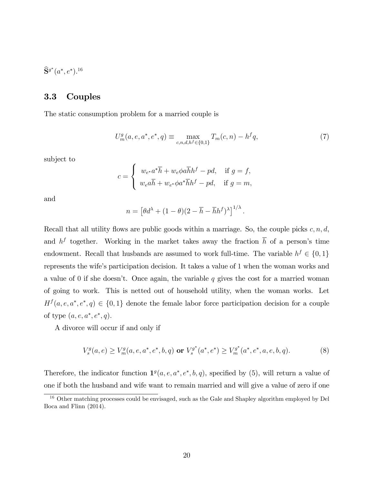$\widehat{\bf S}^{g^*}(a^*,e^*).^{16}$ 

#### 3.3 Couples

The static consumption problem for a married couple is

$$
U_m^g(a, e, a^*, e^*, q) \equiv \max_{c, n, d, h^f \in \{0, 1\}} T_m(c, n) - h^f q,\tag{7}
$$

subject to

$$
c = \begin{cases} w_{e^*}a^*\overline{h} + w_e\phi a\overline{h}h^f - pd, & \text{if } g = f, \\ w_e a\overline{h} + w_{e^*}\phi a^*\overline{h}h^f - pd, & \text{if } g = m, \end{cases}
$$

and

$$
n = \left[\theta d^{\lambda} + (1 - \theta)(2 - \overline{h} - \overline{h}h^f)^{\lambda}\right]^{1/\lambda}.
$$

Recall that all utility flows are public goods within a marriage. So, the couple picks  $c, n, d$ , and  $h^f$  together. Working in the market takes away the fraction  $\bar{h}$  of a person's time endowment. Recall that husbands are assumed to work full-time. The variable  $h^f \in \{0, 1\}$ represents the wifeís participation decision. It takes a value of 1 when the woman works and a value of 0 if she doesn't. Once again, the variable  $q$  gives the cost for a married woman of going to work. This is netted out of household utility, when the woman works. Let  $H<sup>f</sup>(a, e, a^*, e^*, q) \in \{0, 1\}$  denote the female labor force participation decision for a couple of type  $(a, e, a^*, e^*, q)$ .

A divorce will occur if and only if

$$
V_s^g(a, e) \ge V_m^g(a, e, a^*, e^*, b, q) \text{ or } V_s^{g^*}(a^*, e^*) \ge V_m^{g^*}(a^*, e^*, a, e, b, q). \tag{8}
$$

Therefore, the indicator function  $\mathbf{1}^g(a, e, a^*, e^*, b, q)$ , specified by (5), will return a value of one if both the husband and wife want to remain married and will give a value of zero if one

 $16$  Other matching processes could be envisaged, such as the Gale and Shapley algorithm employed by Del Boca and Flinn (2014).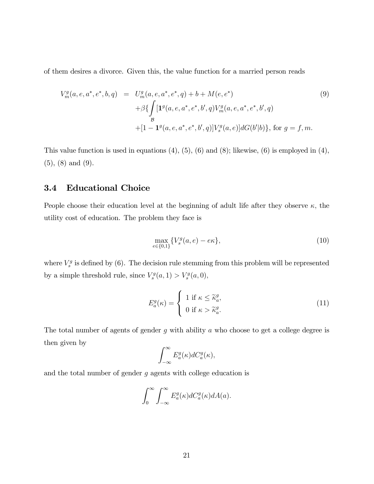of them desires a divorce. Given this, the value function for a married person reads

$$
V_m^g(a, e, a^*, e^*, b, q) = U_m^g(a, e, a^*, e^*, q) + b + M(e, e^*)
$$
  
+ 
$$
\beta \{ \int_B [\mathbf{1}^g(a, e, a^*, e^*, b', q) V_m^g(a, e, a^*, e^*, b', q) \newline \beta \} + [1 - \mathbf{1}^g(a, e, a^*, e^*, b', q)] V_s^g(a, e)] dG(b'|b) \}, \text{ for } g = f, m.
$$
 (9)

This value function is used in equations  $(4)$ ,  $(5)$ ,  $(6)$  and  $(8)$ ; likewise,  $(6)$  is employed in  $(4)$ , (5), (8) and (9).

#### 3.4 Educational Choice

People choose their education level at the beginning of adult life after they observe  $\kappa$ , the utility cost of education. The problem they face is

$$
\max_{e \in \{0,1\}} \{ V_s^g(a, e) - e\kappa \},\tag{10}
$$

where  $V_s^g$  is defined by (6). The decision rule stemming from this problem will be represented by a simple threshold rule, since  $V_s^g(a, 1) > V_s^g(a, 0)$ ,

$$
E_a^g(\kappa) = \begin{cases} 1 \text{ if } \kappa \le \tilde{\kappa}_a^g, \\ 0 \text{ if } \kappa > \tilde{\kappa}_a^g. \end{cases}
$$
 (11)

The total number of agents of gender g with ability a who choose to get a college degree is then given by

$$
\int_{-\infty}^{\infty} E_a^g(\kappa) dC_a^g(\kappa),
$$

and the total number of gender  $g$  agents with college education is

$$
\int_0^\infty \int_{-\infty}^\infty E_a^g(\kappa) dC_a^g(\kappa) dA(a).
$$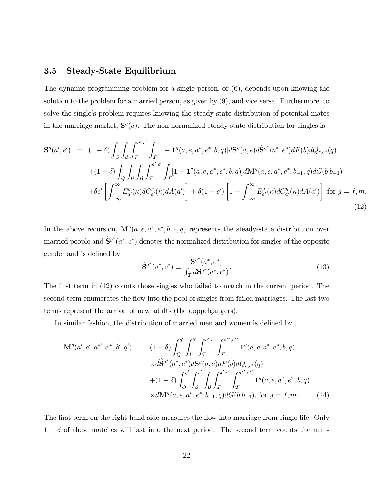#### 3.5 Steady-State Equilibrium

The dynamic programming problem for a single person, or (6), depends upon knowing the solution to the problem for a married person, as given by (9), and vice versa. Furthermore, to solve the single's problem requires knowing the steady-state distribution of potential mates in the marriage market,  $S<sup>g</sup>(a)$ . The non-normalized steady-state distribution for singles is

$$
\mathbf{S}^{g}(a',e') = (1-\delta) \int_{\mathcal{Q}} \int_{\mathcal{B}} \int_{\mathcal{T}}^{a',e'} \int_{\mathcal{T}} [1 - \mathbf{1}^{g}(a,e,a^{*},e^{*},b,q)] d\mathbf{S}^{g}(a,e) d\hat{\mathbf{S}}^{g^{*}}(a^{*},e^{*}) dF(b) dQ_{e,e^{*}}(q)
$$
  
+ 
$$
(1-\delta) \int_{\mathcal{Q}} \int_{\mathcal{B}} \int_{\mathcal{B}} \int_{\mathcal{T}} \int_{\mathcal{T}} [1 - \mathbf{1}^{g}(a,e,a^{*},e^{*},b,q)] d\mathbf{M}^{g}(a,e,a^{*},e^{*},b_{-1},q) dG(b|b_{-1})
$$
  
+ 
$$
\delta e' \left[ \int_{-\infty}^{\infty} E^{g}_{a'}(\kappa) dC^{g}_{a'}(\kappa) dA(a') \right] + \delta (1-e') \left[ 1 - \int_{-\infty}^{\infty} E^{g}_{a'}(\kappa) dC^{g}_{a'}(\kappa) dA(a') \right] \text{ for } g = f, m.
$$
 (12)

In the above recursion,  $\mathbf{M}^g(a, e, a^*, e^*, b_{-1}, q)$  represents the steady-state distribution over married people and  $\hat{\mathbf{S}}^{g^*}(a^*, e^*)$  denotes the normalized distribution for singles of the opposite gender and is defined by

$$
\hat{\mathbf{S}}^{g^*}(a^*, e^*) \equiv \frac{\mathbf{S}^{g^*}(a^*, e^*)}{\int_{\mathcal{T}} d\mathbf{S}^{g^*}(a^*, e^*)}.
$$
\n(13)

The first term in (12) counts those singles who failed to match in the current period. The second term enumerates the flow into the pool of singles from failed marriages. The last two terms represent the arrival of new adults (the doppelgangers).

In similar fashion, the distribution of married men and women is defined by

$$
\mathbf{M}^{g}(a', e', a^{*}, e^{*}, b', q') = (1 - \delta) \int_{\mathcal{Q}}^{q'} \int_{\mathcal{B}}^{b'} \int_{\mathcal{T}}^{a', e'} \int_{\mathcal{T}}^{a^{*}, e^{*}} \mathbf{1}^{g}(a, e, a^{*}, e^{*}, b, q)
$$
  
\n
$$
\times d\hat{\mathbf{S}}^{g^{*}}(a^{*}, e^{*}) d\mathbf{S}^{g}(a, e) dF(b) dQ_{e, e^{*}}(q)
$$
  
\n
$$
+ (1 - \delta) \int_{\mathcal{Q}}^{q'} \int_{\mathcal{B}}^{b'} \int_{\mathcal{B}} \int_{\mathcal{T}}^{a', e'} \int_{\mathcal{T}}^{a^{*}, e^{*}} \mathbf{1}^{g}(a, e, a^{*}, e^{*}, b, q)
$$
  
\n
$$
\times d\mathbf{M}^{g}(a, e, a^{*}, e^{*}, b_{-1}, q) dG(b|b_{-1}), \text{ for } g = f, m. \tag{14}
$$

The first term on the right-hand side measures the flow into marriage from single life. Only  $1 - \delta$  of these matches will last into the next period. The second term counts the num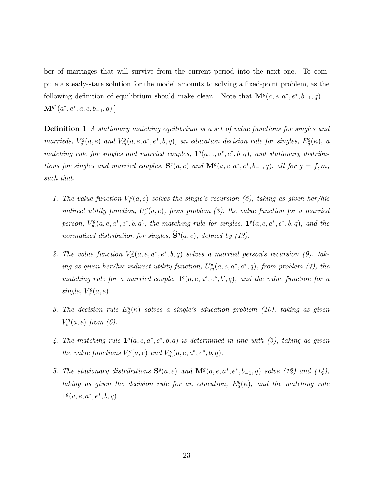ber of marriages that will survive from the current period into the next one. To compute a steady-state solution for the model amounts to solving a fixed-point problem, as the following definition of equilibrium should make clear. [Note that  $\mathbf{M}^{g}(a, e, a^*, e^*, b_{-1}, q)$  =  ${\bf M}^{g^*}(a^*,e^*,a,e,b_{-1},q).]$ 

**Definition 1** A stationary matching equilibrium is a set of value functions for singles and marrieds,  $V_s^g(a, e)$  and  $V_m^g(a, e, a^*, e^*, b, q)$ , an education decision rule for singles,  $E_a^g(\kappa)$ , a matching rule for singles and married couples,  $\mathbf{1}^g(a, e, a^*, e^*, b, q)$ , and stationary distributions for singles and married couples,  $S^g(a, e)$  and  $\mathbf{M}^g(a, e, a^*, e^*, b_{-1}, q)$ , all for  $g = f, m$ , such that:

- 1. The value function  $V_s^g(a, e)$  solves the single's recursion (6), taking as given her/his indirect utility function,  $U_s^g(a, e)$ , from problem (3), the value function for a married person,  $V_m^g(a, e, a^*, e^*, b, q)$ , the matching rule for singles,  $\mathbf{1}^g(a, e, a^*, e^*, b, q)$ , and the normalized distribution for singles,  $\hat{\mathbf{S}}^g(a, e)$ , defined by (13).
- 2. The value function  $V_m^g(a, e, a^*, e^*, b, q)$  solves a married person's recursion (9), taking as given her/his indirect utility function,  $U_m^g(a, e, a^*, e^*, q)$ , from problem (7), the matching rule for a married couple,  $\mathbf{1}^g(a, e, a^*, e^*, b', q)$ , and the value function for a single,  $V_s^g(a, e)$ .
- 3. The decision rule  $E_a^g(\kappa)$  solves a single's education problem (10), taking as given  $V_s^g(a, e)$  from (6).
- 4. The matching rule  $\mathbf{1}^g(a, e, a^*, e^*, b, q)$  is determined in line with (5), taking as given the value functions  $V_s^g(a, e)$  and  $V_m^g(a, e, a^*, e^*, b, q)$ .
- 5. The stationary distributions  $S^g(a, e)$  and  $\mathbf{M}^g(a, e, a^*, e^*, b_{-1}, q)$  solve (12) and (14), taking as given the decision rule for an education,  $E_a^g(\kappa)$ , and the matching rule  $\mathbf{1}^g(a,e,a^*,e^*,b,q).$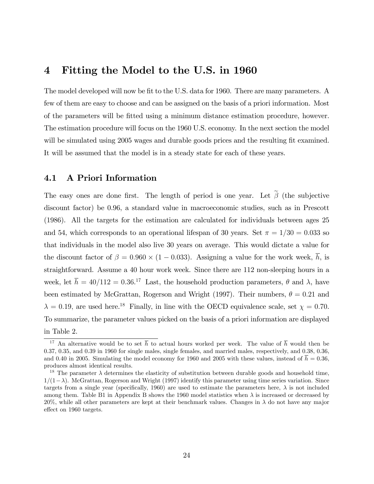#### 4 Fitting the Model to the U.S. in 1960

The model developed will now be fit to the U.S. data for 1960. There are many parameters. A few of them are easy to choose and can be assigned on the basis of a priori information. Most of the parameters will be Ötted using a minimum distance estimation procedure, however. The estimation procedure will focus on the 1960 U.S. economy. In the next section the model will be simulated using 2005 wages and durable goods prices and the resulting fit examined. It will be assumed that the model is in a steady state for each of these years.

#### 4.1 A Priori Information

The easy ones are done first. The length of period is one year. Let  $\tilde{\beta}$  (the subjective discount factor) be 0.96, a standard value in macroeconomic studies, such as in Prescott (1986). All the targets for the estimation are calculated for individuals between ages 25 and 54, which corresponds to an operational lifespan of 30 years. Set  $\pi = 1/30 = 0.033$  so that individuals in the model also live 30 years on average. This would dictate a value for the discount factor of  $\beta = 0.960 \times (1 - 0.033)$ . Assigning a value for the work week, h, is straightforward. Assume a 40 hour work week. Since there are 112 non-sleeping hours in a week, let  $\bar{h} = 40/112 = 0.36$ .<sup>17</sup> Last, the household production parameters,  $\theta$  and  $\lambda$ , have been estimated by McGrattan, Rogerson and Wright (1997). Their numbers,  $\theta = 0.21$  and  $\lambda = 0.19$ , are used here.<sup>18</sup> Finally, in line with the OECD equivalence scale, set  $\chi = 0.70$ . To summarize, the parameter values picked on the basis of a priori information are displayed in Table 2.

<sup>&</sup>lt;sup>17</sup> An alternative would be to set  $\overline{h}$  to actual hours worked per week. The value of  $\overline{h}$  would then be 0.37, 0.35, and 0.39 in 1960 for single males, single females, and married males, respectively, and 0.38, 0.36, and 0.40 in 2005. Simulating the model economy for 1960 and 2005 with these values, instead of  $\overline{h} = 0.36$ , produces almost identical results.

<sup>&</sup>lt;sup>18</sup> The parameter  $\lambda$  determines the elasticity of substitution between durable goods and household time,  $1/(1-\lambda)$ . McGrattan, Rogerson and Wright (1997) identify this parameter using time series variation. Since targets from a single year (specifically, 1960) are used to estimate the parameters here,  $\lambda$  is not included among them. Table B1 in Appendix B shows the 1960 model statistics when  $\lambda$  is increased or decreased by 20%, while all other parameters are kept at their benchmark values. Changes in  $\lambda$  do not have any major effect on 1960 targets.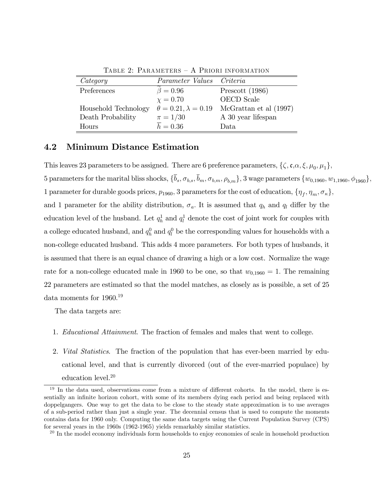| Category             | Parameter Values Criteria       |                        |
|----------------------|---------------------------------|------------------------|
| Preferences          | $\beta = 0.96$                  | Prescott $(1986)$      |
|                      | $\chi = 0.70$                   | OECD Scale             |
| Household Technology | $\theta = 0.21, \lambda = 0.19$ | McGrattan et al (1997) |
| Death Probability    | $\pi = 1/30$                    | A 30 year lifespan     |
| Hours                | $\overline{h} = 0.36$           | Data                   |

TABLE 2: PARAMETERS  $-$  A PRIORI INFORMATION

#### 4.2 Minimum Distance Estimation

This leaves 23 parameters to be assigned. There are 6 preference parameters,  $\{\zeta, \mathfrak{c}, \alpha, \xi, \mu_0, \mu_1\},\$ 5 parameters for the marital bliss shocks,  $\{\bar{b}_s, \sigma_{b,s}, \bar{b}_m, \sigma_{b,m}, \rho_{b,m}\}$ , 3 wage parameters  $\{w_{0,1960}, w_{1,1960}, \phi_{1960}\}$ , 1 parameter for durable goods prices,  $p_{1960}$ , 3 parameters for the cost of education,  $\{\eta_f, \eta_m, \sigma_{\kappa}\},$ and 1 parameter for the ability distribution,  $\sigma_a$ . It is assumed that  $q_h$  and  $q_l$  differ by the education level of the husband. Let  $q_h^1$  and  $q_l^1$  denote the cost of joint work for couples with a college educated husband, and  $q_h^0$  and  $q_l^0$  be the corresponding values for households with a non-college educated husband. This adds 4 more parameters. For both types of husbands, it is assumed that there is an equal chance of drawing a high or a low cost. Normalize the wage rate for a non-college educated male in 1960 to be one, so that  $w_{0,1960} = 1$ . The remaining 22 parameters are estimated so that the model matches, as closely as is possible, a set of 25 data moments for 1960.<sup>19</sup>

The data targets are:

- 1. Educational Attainment. The fraction of females and males that went to college.
- 2. *Vital Statistics*. The fraction of the population that has ever-been married by educational level, and that is currently divorced (out of the ever-married populace) by education level.<sup>20</sup>

 $19$  In the data used, observations come from a mixture of different cohorts. In the model, there is essentially an infinite horizon cohort, with some of its members dying each period and being replaced with doppelgangers. One way to get the data to be close to the steady state approximation is to use averages of a sub-period rather than just a single year. The decennial census that is used to compute the moments contains data for 1960 only. Computing the same data targets using the Current Population Survey (CPS) for several years in the 1960s (1962-1965) yields remarkably similar statistics.

<sup>&</sup>lt;sup>20</sup> In the model economy individuals form households to enjoy economies of scale in household production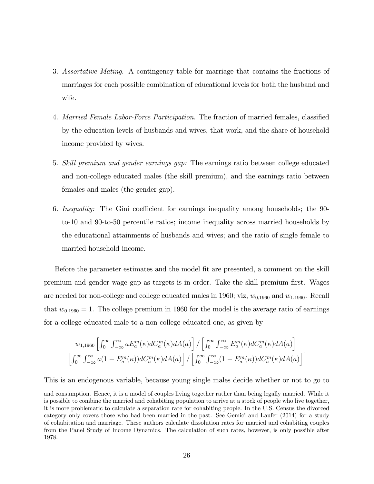- 3. Assortative Mating. A contingency table for marriage that contains the fractions of marriages for each possible combination of educational levels for both the husband and wife.
- 4. Married Female Labor-Force Participation. The fraction of married females, classified by the education levels of husbands and wives, that work, and the share of household income provided by wives.
- 5. Skill premium and gender earnings gap: The earnings ratio between college educated and non-college educated males (the skill premium), and the earnings ratio between females and males (the gender gap).
- 6. Inequality: The Gini coefficient for earnings inequality among households; the  $90$ to-10 and 90-to-50 percentile ratios; income inequality across married households by the educational attainments of husbands and wives; and the ratio of single female to married household income.

Before the parameter estimates and the model fit are presented, a comment on the skill premium and gender wage gap as targets is in order. Take the skill premium first. Wages are needed for non-college and college educated males in 1960; viz,  $w_{0,1960}$  and  $w_{1,1960}$ . Recall that  $w_{0,1960} = 1$ . The college premium in 1960 for the model is the average ratio of earnings for a college educated male to a non-college educated one, as given by

$$
\frac{w_{1,1960} \left[ \int_0^\infty \int_{-\infty}^\infty aE_a^m(\kappa) dC_a^m(\kappa) dA(a) \right] / \left[ \int_0^\infty \int_{-\infty}^\infty E_a^m(\kappa) dC_a^m(\kappa) dA(a) \right]}{\left[ \int_0^\infty \int_{-\infty}^\infty a(1 - E_a^m(\kappa)) dC_a^m(\kappa) dA(a) \right] / \left[ \int_0^\infty \int_{-\infty}^\infty (1 - E_a^m(\kappa)) dC_a^m(\kappa) dA(a) \right]}.
$$

This is an endogenous variable, because young single males decide whether or not to go to

and consumption. Hence, it is a model of couples living together rather than being legally married. While it is possible to combine the married and cohabiting population to arrive at a stock of people who live together, it is more problematic to calculate a separation rate for cohabiting people. In the U.S. Census the divorced category only covers those who had been married in the past. See Gemici and Laufer (2014) for a study of cohabitation and marriage. These authors calculate dissolution rates for married and cohabiting couples from the Panel Study of Income Dynamics. The calculation of such rates, however, is only possible after 1978.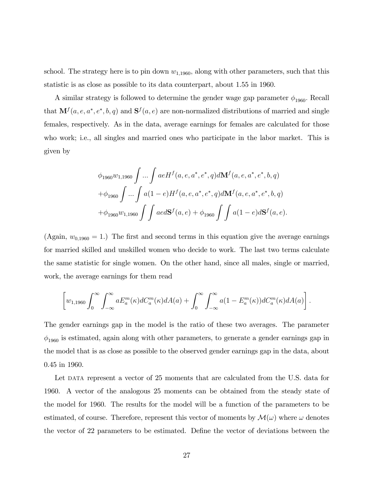school. The strategy here is to pin down  $w_{1,1960}$ , along with other parameters, such that this statistic is as close as possible to its data counterpart, about 1.55 in 1960.

A similar strategy is followed to determine the gender wage gap parameter  $\phi_{1960}$ . Recall that  $\mathbf{M}^f(a, e, a^*, e^*, b, q)$  and  $\mathbf{S}^f(a, e)$  are non-normalized distributions of married and single females, respectively. As in the data, average earnings for females are calculated for those who work; i.e., all singles and married ones who participate in the labor market. This is given by

$$
\phi_{1960}w_{1,1960} \int \dots \int a e H^f(a, e, a^*, e^*, q) d \mathbf{M}^f(a, e, a^*, e^*, b, q)
$$

$$
+ \phi_{1960} \int \dots \int a (1 - e) H^f(a, e, a^*, e^*, q) d \mathbf{M}^f(a, e, a^*, e^*, b, q)
$$

$$
+ \phi_{1960}w_{1,1960} \int \int a e d \mathbf{S}^f(a, e) + \phi_{1960} \int \int a (1 - e) d \mathbf{S}^f(a, e).
$$

(Again,  $w_{0,1960} = 1$ .) The first and second terms in this equation give the average earnings for married skilled and unskilled women who decide to work. The last two terms calculate the same statistic for single women. On the other hand, since all males, single or married, work, the average earnings for them read

$$
\left[w_{1,1960} \int_0^\infty \int_{-\infty}^\infty a E_a^m(\kappa) dC_a^m(\kappa) dA(a) + \int_0^\infty \int_{-\infty}^\infty a(1 - E_a^m(\kappa)) dC_a^m(\kappa) dA(a)\right].
$$

The gender earnings gap in the model is the ratio of these two averages. The parameter  $\phi_{1960}$  is estimated, again along with other parameters, to generate a gender earnings gap in the model that is as close as possible to the observed gender earnings gap in the data, about 0.45 in 1960.

Let DATA represent a vector of 25 moments that are calculated from the U.S. data for 1960. A vector of the analogous 25 moments can be obtained from the steady state of the model for 1960. The results for the model will be a function of the parameters to be estimated, of course. Therefore, represent this vector of moments by  $\mathcal{M}(\omega)$  where  $\omega$  denotes the vector of 22 parameters to be estimated. DeÖne the vector of deviations between the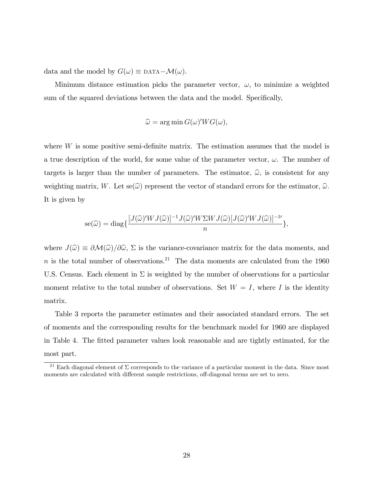data and the model by  $G(\omega) \equiv \text{DATA}-\mathcal{M}(\omega)$ .

Minimum distance estimation picks the parameter vector,  $\omega$ , to minimize a weighted sum of the squared deviations between the data and the model. Specifically,

$$
\widehat{\omega} = \arg \min G(\omega)' WG(\omega),
$$

where  $W$  is some positive semi-definite matrix. The estimation assumes that the model is a true description of the world, for some value of the parameter vector,  $\omega$ . The number of targets is larger than the number of parameters. The estimator,  $\hat{\omega}$ , is consistent for any weighting matrix, W. Let  $se(\widehat{\omega})$  represent the vector of standard errors for the estimator,  $\widehat{\omega}$ . It is given by

$$
se(\widehat{\omega}) = diag\{\frac{[J(\widehat{\omega})'WJ(\widehat{\omega})]^{-1}J(\widehat{\omega})'W\Sigma WJ(\widehat{\omega})[J(\widehat{\omega})'WJ(\widehat{\omega})]^{-1\prime}}{n}\},
$$

where  $J(\hat{\omega}) \equiv \partial \mathcal{M}(\hat{\omega})/\partial \hat{\omega}$ ,  $\Sigma$  is the variance-covariance matrix for the data moments, and n is the total number of observations.<sup>21</sup> The data moments are calculated from the 1960 U.S. Census. Each element in  $\Sigma$  is weighted by the number of observations for a particular moment relative to the total number of observations. Set  $W = I$ , where I is the identity matrix.

Table 3 reports the parameter estimates and their associated standard errors. The set of moments and the corresponding results for the benchmark model for 1960 are displayed in Table 4. The Ötted parameter values look reasonable and are tightly estimated, for the most part.

<sup>&</sup>lt;sup>21</sup> Each diagonal element of  $\Sigma$  corresponds to the variance of a particular moment in the data. Since most moments are calculated with different sample restrictions, off-diagonal terms are set to zero.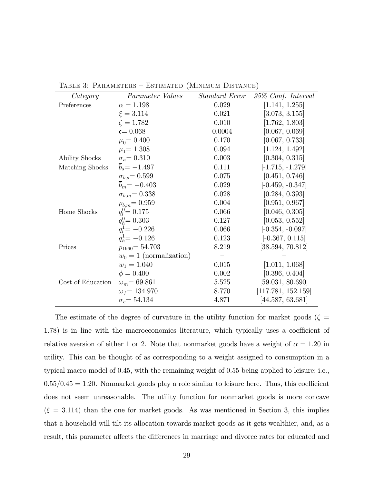| Category              | Parameter Values          | Standard Error | 95% Conf. Interval |
|-----------------------|---------------------------|----------------|--------------------|
| Preferences           | $\alpha = 1.198$          | 0.029          | [1.141, 1.255]     |
|                       | $\xi = 3.114$             | 0.021          | [3.073, 3.155]     |
|                       | $\zeta = 1.782$           | 0.010          | [1.762, 1.803]     |
|                       | $t = 0.068$               | 0.0004         | [0.067, 0.069]     |
|                       | $\mu_0 = 0.400$           | 0.170          | [0.067, 0.733]     |
|                       | $\mu_1 = 1.308$           | 0.094          | [1.124, 1.492]     |
| <b>Ability Shocks</b> | $\sigma_a = 0.310$        | 0.003          | [0.304, 0.315]     |
| Matching Shocks       | $\overline{b}_s = -1.497$ | 0.111          | $[-1.715, -1.279]$ |
|                       | $\sigma_{b,s} = 0.599$    | 0.075          | [0.451, 0.746]     |
|                       | $b_m = -0.403$            | 0.029          | $[-0.459, -0.347]$ |
|                       | $\sigma_{b,m} = 0.338$    | 0.028          | [0.284, 0.393]     |
|                       | $\rho_{b,m} = 0.959$      | 0.004          | [0.951, 0.967]     |
| Home Shocks           | $q_l^0$ = 0.175           | 0.066          | [0.046, 0.305]     |
|                       | $q_b^0$ = 0.303           | 0.127          | [0.053, 0.552]     |
|                       | $q_l^1 = -0.226$          | 0.066          | $[-0.354, -0.097]$ |
|                       | $q_h^1 = -0.126$          | 0.123          | $[-0.367, 0.115]$  |
| Prices                | $p_{1960} = 54.703$       | 8.219          | [38.594, 70.812]   |
|                       | $w_0 = 1$ (normalization) |                |                    |
|                       | $w_1 = 1.040$             | 0.015          | [1.011, 1.068]     |
|                       | $\phi = 0.400$            | 0.002          | [0.396, 0.404]     |
| Cost of Education     | $\omega_m = 69.861$       | 5.525          | [59.031, 80.690]   |
|                       | $\omega_f = 134.970$      | 8.770          | [117.781, 152.159] |
|                       | $\sigma_e = 54.134$       | 4.871          | [44.587, 63.681]   |

TABLE 3: PARAMETERS – ESTIMATED (MINIMUM DISTANCE)

The estimate of the degree of curvature in the utility function for market goods ( $\zeta =$ 1.78) is in line with the macroeconomics literature, which typically uses a coefficient of relative aversion of either 1 or 2. Note that nonmarket goods have a weight of  $\alpha = 1.20$  in utility. This can be thought of as corresponding to a weight assigned to consumption in a typical macro model of 0:45, with the remaining weight of 0:55 being applied to leisure; i.e.,  $0.55/0.45 = 1.20$ . Nonmarket goods play a role similar to leisure here. Thus, this coefficient does not seem unreasonable. The utility function for nonmarket goods is more concave  $(\xi = 3.114)$  than the one for market goods. As was mentioned in Section 3, this implies that a household will tilt its allocation towards market goods as it gets wealthier, and, as a result, this parameter affects the differences in marriage and divorce rates for educated and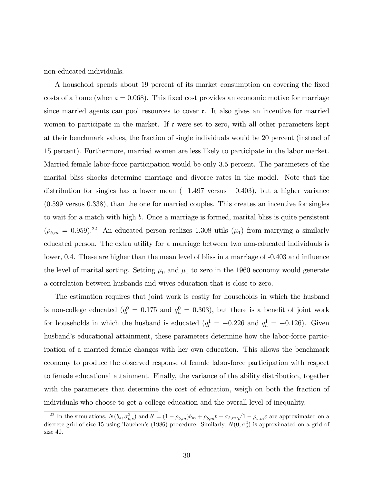non-educated individuals.

A household spends about 19 percent of its market consumption on covering the Öxed costs of a home (when  $c = 0.068$ ). This fixed cost provides an economic motive for marriage since married agents can pool resources to cover c. It also gives an incentive for married women to participate in the market. If c were set to zero, with all other parameters kept at their benchmark values, the fraction of single individuals would be 20 percent (instead of 15 percent). Furthermore, married women are less likely to participate in the labor market. Married female labor-force participation would be only 3.5 percent. The parameters of the marital bliss shocks determine marriage and divorce rates in the model. Note that the distribution for singles has a lower mean  $(-1.497 \text{ versus } -0.403)$ , but a higher variance (0:599 versus 0:338), than the one for married couples. This creates an incentive for singles to wait for a match with high b. Once a marriage is formed, marital bliss is quite persistent  $(\rho_{b,m} = 0.959)^{22}$  An educated person realizes 1.308 utils  $(\mu_1)$  from marrying a similarly educated person. The extra utility for a marriage between two non-educated individuals is lower, 0.4. These are higher than the mean level of bliss in a marriage of  $-0.403$  and influence the level of marital sorting. Setting  $\mu_0$  and  $\mu_1$  to zero in the 1960 economy would generate a correlation between husbands and wives education that is close to zero.

The estimation requires that joint work is costly for households in which the husband is non-college educated  $(q_l^0 = 0.175$  and  $q_h^0 = 0.303)$ , but there is a benefit of joint work for households in which the husband is educated  $(q_l^1 = -0.226$  and  $q_h^1 = -0.126$ ). Given husband's educational attainment, these parameters determine how the labor-force participation of a married female changes with her own education. This allows the benchmark economy to produce the observed response of female labor-force participation with respect to female educational attainment. Finally, the variance of the ability distribution, together with the parameters that determine the cost of education, weigh on both the fraction of individuals who choose to get a college education and the overall level of inequality.

<sup>&</sup>lt;sup>22</sup> In the simulations,  $N(\bar{b}_s, \sigma_{b,s}^2)$  and  $b' = (1 - \rho_{b,m})\bar{b}_m + \rho_{b,m}b + \sigma_{b,m}\sqrt{1 - \rho_{b,m}}\varepsilon$  are approximated on a discrete grid of size 15 using Tauchen's (1986) procedure. Similarly,  $N(0, \sigma_a^2)$  is approximated on a grid of size 40.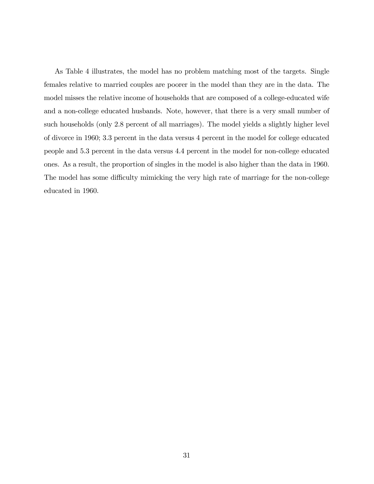As Table 4 illustrates, the model has no problem matching most of the targets. Single females relative to married couples are poorer in the model than they are in the data. The model misses the relative income of households that are composed of a college-educated wife and a non-college educated husbands. Note, however, that there is a very small number of such households (only 2.8 percent of all marriages). The model yields a slightly higher level of divorce in 1960; 3.3 percent in the data versus 4 percent in the model for college educated people and 5.3 percent in the data versus 4.4 percent in the model for non-college educated ones. As a result, the proportion of singles in the model is also higher than the data in 1960. The model has some difficulty mimicking the very high rate of marriage for the non-college educated in 1960.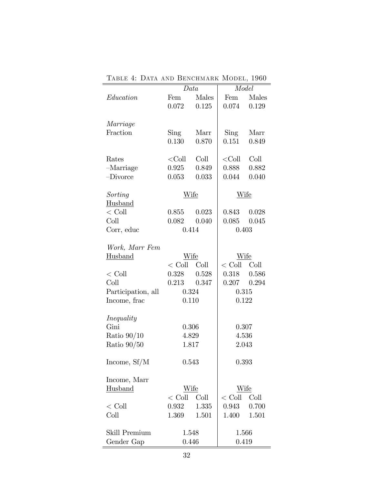|                    |              | $\mathbf{v}$ $\mathbf{v}$ $\mathbf{v}$ $\mathbf{v}$ $\mathbf{v}$ | ******** |       |
|--------------------|--------------|------------------------------------------------------------------|----------|-------|
|                    |              | Data                                                             | Model    |       |
| Education          | Fem          | Males                                                            | Fem      | Males |
|                    | 0.072        | 0.125                                                            | 0.074    | 0.129 |
|                    |              |                                                                  |          |       |
| Marriage           |              |                                                                  |          |       |
| Fraction           | Sing         | Marr                                                             | Sing     | Marr  |
|                    | 0.130        | 0.870                                                            | 0.151    | 0.849 |
|                    |              |                                                                  |          |       |
| Rates              | $<$ Coll     | Coll                                                             | $<$ Coll | Coll  |
| $-Marriage$        | 0.925        | 0.849                                                            | 0.888    | 0.882 |
| $-Divorce$         | 0.053        | 0.033                                                            | 0.044    | 0.040 |
|                    |              |                                                                  |          |       |
| Sorting            |              | Wife                                                             | Wife     |       |
| Husband            |              |                                                                  |          |       |
| $<$ Coll           | 0.855        | 0.023                                                            | 0.843    | 0.028 |
| Coll               | 0.082        | 0.040                                                            | 0.085    | 0.045 |
| Corr, educ         |              | 0.414                                                            | 0.403    |       |
|                    |              |                                                                  |          |       |
| Work, Marr Fem     |              |                                                                  |          |       |
| Husband            |              | Wife                                                             | Wife     |       |
|                    | $<$ Coll     | Coll                                                             | $<$ Coll | Coll  |
| $\rm <$ Coll       | 0.328        | 0.528                                                            | 0.318    | 0.586 |
| Coll               | 0.213        | 0.347                                                            | 0.207    | 0.294 |
| Participation, all |              | 0.324                                                            | 0.315    |       |
| Income, frac       | 0.110        |                                                                  | 0.122    |       |
|                    |              |                                                                  |          |       |
|                    |              |                                                                  |          |       |
| Inequality<br>Gini |              |                                                                  | 0.307    |       |
|                    | 0.306        |                                                                  |          |       |
| Ratio $90/10$      | 4.829        |                                                                  | 4.536    |       |
| Ratio $90/50$      |              | 1.817                                                            | 2.043    |       |
|                    |              |                                                                  |          |       |
| Income, $Sf/M$     | 0.543        |                                                                  | 0.393    |       |
| Income, Marr       |              |                                                                  |          |       |
| Husband            |              | Wife                                                             | Wife     |       |
|                    | $\rm <$ Coll | Coll                                                             |          |       |
|                    |              |                                                                  | $<$ Coll | Coll  |
| $<$ Coll           | 0.932        | 1.335                                                            | 0.943    | 0.700 |
| Coll               | 1.369        | 1.501                                                            | 1.400    | 1.501 |
|                    |              |                                                                  |          |       |
| Skill Premium      |              | 1.548                                                            | 1.566    |       |
| Gender Gap         | 0.446        |                                                                  | 0.419    |       |

TABLE 4: DATA AND BENCHMARK MODEL, 1960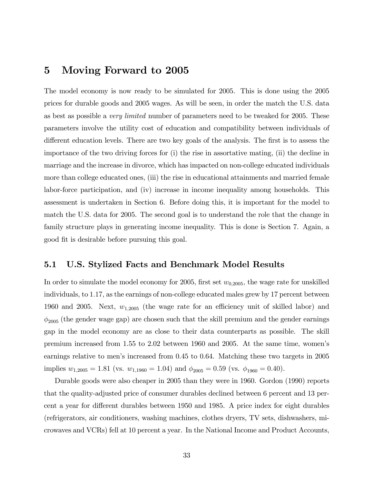#### 5 Moving Forward to 2005

The model economy is now ready to be simulated for 2005. This is done using the 2005 prices for durable goods and 2005 wages. As will be seen, in order the match the U.S. data as best as possible a very limited number of parameters need to be tweaked for 2005. These parameters involve the utility cost of education and compatibility between individuals of different education levels. There are two key goals of the analysis. The first is to assess the importance of the two driving forces for (i) the rise in assortative mating, (ii) the decline in marriage and the increase in divorce, which has impacted on non-college educated individuals more than college educated ones, (iii) the rise in educational attainments and married female labor-force participation, and (iv) increase in income inequality among households. This assessment is undertaken in Section 6. Before doing this, it is important for the model to match the U.S. data for 2005. The second goal is to understand the role that the change in family structure plays in generating income inequality. This is done is Section 7. Again, a good fit is desirable before pursuing this goal.

#### 5.1 U.S. Stylized Facts and Benchmark Model Results

In order to simulate the model economy for 2005, first set  $w_{0,2005}$ , the wage rate for unskilled individuals, to 1.17, as the earnings of non-college educated males grew by 17 percent between 1960 and 2005. Next,  $w_{1,2005}$  (the wage rate for an efficiency unit of skilled labor) and  $\phi_{2005}$  (the gender wage gap) are chosen such that the skill premium and the gender earnings gap in the model economy are as close to their data counterparts as possible. The skill premium increased from 1.55 to 2.02 between 1960 and 2005. At the same time, womenís earnings relative to menís increased from 0.45 to 0.64. Matching these two targets in 2005 implies  $w_{1,2005} = 1.81$  (vs.  $w_{1,1960} = 1.04$ ) and  $\phi_{2005} = 0.59$  (vs.  $\phi_{1960} = 0.40$ ).

Durable goods were also cheaper in 2005 than they were in 1960. Gordon (1990) reports that the quality-adjusted price of consumer durables declined between 6 percent and 13 percent a year for different durables between 1950 and 1985. A price index for eight durables (refrigerators, air conditioners, washing machines, clothes dryers, TV sets, dishwashers, microwaves and VCRs) fell at 10 percent a year. In the National Income and Product Accounts,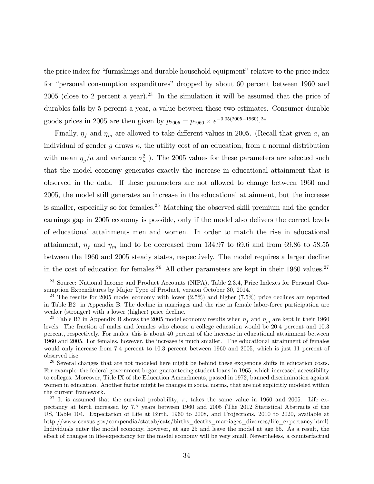the price index for "furnishings and durable household equipment" relative to the price index for "personal consumption expenditures" dropped by about 60 percent between 1960 and 2005 (close to 2 percent a year).<sup>23</sup> In the simulation it will be assumed that the price of durables falls by 5 percent a year, a value between these two estimates. Consumer durable goods prices in 2005 are then given by  $p_{2005} = p_{1960} \times e^{-0.05(2005 - 1960)}$  24

Finally,  $\eta_f$  and  $\eta_m$  are allowed to take different values in 2005. (Recall that given a, an individual of gender g draws  $\kappa$ , the utility cost of an education, from a normal distribution with mean  $\eta_g/a$  and variance  $\sigma_{\kappa}^2$ ). The 2005 values for these parameters are selected such that the model economy generates exactly the increase in educational attainment that is observed in the data. If these parameters are not allowed to change between 1960 and 2005, the model still generates an increase in the educational attainment, but the increase is smaller, especially so for females.<sup>25</sup> Matching the observed skill premium and the gender earnings gap in 2005 economy is possible, only if the model also delivers the correct levels of educational attainments men and women. In order to match the rise in educational attainment,  $\eta_f$  and  $\eta_m$  had to be decreased from 134.97 to 69.6 and from 69.86 to 58.55 between the 1960 and 2005 steady states, respectively. The model requires a larger decline in the cost of education for females.<sup>26</sup> All other parameters are kept in their 1960 values.<sup>27</sup>

<sup>&</sup>lt;sup>23</sup> Source: National Income and Product Accounts (NIPA), Table 2.3.4, Price Indexes for Personal Consumption Expenditures by Major Type of Product, version October 30, 2014.

<sup>&</sup>lt;sup>24</sup> The results for 2005 model economy with lower  $(2.5\%)$  and higher  $(7.5\%)$  price declines are reported in Table B2 in Appendix B. The decline in marriages and the rise in female labor-force participation are weaker (stronger) with a lower (higher) price decline.

<sup>&</sup>lt;sup>25</sup> Table B3 in Appendix B shows the 2005 model economy results when  $\eta_f$  and  $\eta_m$  are kept in their 1960 levels. The fraction of males and females who choose a college education would be 20.4 percent and 10.3 percent, respectively. For males, this is about 40 percent of the increase in educational attainment between 1960 and 2005. For females, however, the increase is much smaller. The educational attainment of females would only increase from 7.4 percent to 10.3 percent between 1960 and 2005, which is just 11 percent of observed rise.

<sup>&</sup>lt;sup>26</sup> Several changes that are not modeled here might be behind these exogenous shifts in education costs. For example: the federal government began guaranteeing student loans in 1965, which increased accessibility to colleges. Moreover, Title IX of the Education Amendments, passed in 1972, banned discrimination against women in education. Another factor might be changes in social norms, that are not explicitly modeled within the current framework.

<sup>&</sup>lt;sup>27</sup> It is assumed that the survival probability,  $\pi$ , takes the same value in 1960 and 2005. Life expectancy at birth increased by 7.7 years between 1960 and 2005 (The 2012 Statistical Abstracts of the US, Table 104. Expectation of Life at Birth, 1960 to 2008, and Projections, 2010 to 2020, available at http://www.census.gov/compendia/statab/cats/births\_deaths\_marriages\_divorces/life\_expectancy.html). Individuals enter the model economy, however, at age 25 and leave the model at age 55. As a result, the effect of changes in life-expectancy for the model economy will be very small. Nevertheless, a counterfactual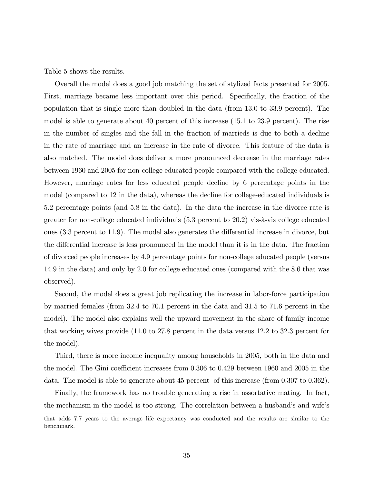Table 5 shows the results.

Overall the model does a good job matching the set of stylized facts presented for 2005. First, marriage became less important over this period. Specifically, the fraction of the population that is single more than doubled in the data (from 13.0 to 33.9 percent). The model is able to generate about 40 percent of this increase (15.1 to 23.9 percent). The rise in the number of singles and the fall in the fraction of marrieds is due to both a decline in the rate of marriage and an increase in the rate of divorce. This feature of the data is also matched. The model does deliver a more pronounced decrease in the marriage rates between 1960 and 2005 for non-college educated people compared with the college-educated. However, marriage rates for less educated people decline by 6 percentage points in the model (compared to 12 in the data), whereas the decline for college-educated individuals is 5.2 percentage points (and 5.8 in the data). In the data the increase in the divorce rate is greater for non-college educated individuals  $(5.3$  percent to  $20.2$ ) vis- $\hat{a}$ -vis college educated ones  $(3.3 \text{ percent to } 11.9)$ . The model also generates the differential increase in divorce, but the differential increase is less pronounced in the model than it is in the data. The fraction of divorced people increases by 4.9 percentage points for non-college educated people (versus 14.9 in the data) and only by 2.0 for college educated ones (compared with the 8.6 that was observed).

Second, the model does a great job replicating the increase in labor-force participation by married females (from 32.4 to 70.1 percent in the data and 31.5 to 71.6 percent in the model). The model also explains well the upward movement in the share of family income that working wives provide (11.0 to 27.8 percent in the data versus 12.2 to 32.3 percent for the model).

Third, there is more income inequality among households in 2005, both in the data and the model. The Gini coefficient increases from  $0.306$  to  $0.429$  between 1960 and 2005 in the data. The model is able to generate about 45 percent of this increase (from 0.307 to 0.362).

Finally, the framework has no trouble generating a rise in assortative mating. In fact, the mechanism in the model is too strong. The correlation between a husband's and wife's

that adds 7.7 years to the average life expectancy was conducted and the results are similar to the benchmark.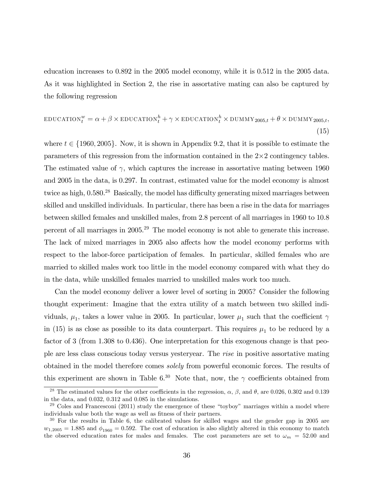education increases to 0.892 in the 2005 model economy, while it is 0.512 in the 2005 data. As it was highlighted in Section 2, the rise in assortative mating can also be captured by the following regression

$$
EDUCATION_t^w = \alpha + \beta \times EDUCATION_t^h + \gamma \times EDUCATION_t^h \times DUMMY_{2005,t} + \theta \times DUMMY_{2005,t},
$$
\n(15)

where  $t \in \{1960, 2005\}$ . Now, it is shown in Appendix 9.2, that it is possible to estimate the parameters of this regression from the information contained in the  $2\times 2$  contingency tables. The estimated value of  $\gamma$ , which captures the increase in assortative mating between 1960 and 2005 in the data, is 0.297. In contrast, estimated value for the model economy is almost twice as high,  $0.580<sup>28</sup>$  Basically, the model has difficulty generating mixed marriages between skilled and unskilled individuals. In particular, there has been a rise in the data for marriages between skilled females and unskilled males, from 2.8 percent of all marriages in 1960 to 10.8 percent of all marriages in 2005.<sup>29</sup> The model economy is not able to generate this increase. The lack of mixed marriages in 2005 also affects how the model economy performs with respect to the labor-force participation of females. In particular, skilled females who are married to skilled males work too little in the model economy compared with what they do in the data, while unskilled females married to unskilled males work too much.

Can the model economy deliver a lower level of sorting in 2005? Consider the following thought experiment: Imagine that the extra utility of a match between two skilled individuals,  $\mu_1$ , takes a lower value in 2005. In particular, lower  $\mu_1$  such that the coefficient  $\gamma$ in (15) is as close as possible to its data counterpart. This requires  $\mu_1$  to be reduced by a factor of 3 (from 1.308 to 0.436). One interpretation for this exogenous change is that people are less class conscious today versus yesteryear. The rise in positive assortative mating obtained in the model therefore comes solely from powerful economic forces. The results of this experiment are shown in Table 6.<sup>30</sup> Note that, now, the  $\gamma$  coefficients obtained from

<sup>&</sup>lt;sup>28</sup> The estimated values for the other coefficients in the regression,  $\alpha$ ,  $\beta$ , and  $\theta$ , are 0.026, 0.302 and 0.139 in the data, and 0.032, 0.312 and 0.085 in the simulations.

<sup>&</sup>lt;sup>29</sup> Coles and Francesconi (2011) study the emergence of these "toyboy" marriages within a model where individuals value both the wage as well as fitness of their partners.

<sup>&</sup>lt;sup>30</sup> For the results in Table 6, the calibrated values for skilled wages and the gender gap in 2005 are  $w_{1,2005} = 1.885$  and  $\phi_{1960} = 0.592$ . The cost of education is also slightly altered in this economy to match the observed education rates for males and females. The cost parameters are set to  $\omega_m = 52.00$  and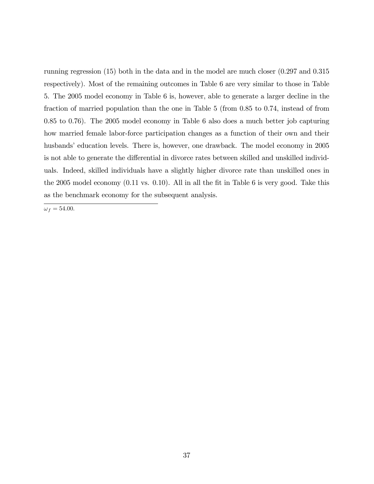running regression (15) both in the data and in the model are much closer (0.297 and 0.315 respectively). Most of the remaining outcomes in Table 6 are very similar to those in Table 5. The 2005 model economy in Table 6 is, however, able to generate a larger decline in the fraction of married population than the one in Table 5 (from 0.85 to 0.74, instead of from 0.85 to 0.76). The 2005 model economy in Table 6 also does a much better job capturing how married female labor-force participation changes as a function of their own and their husbands' education levels. There is, however, one drawback. The model economy in 2005 is not able to generate the differential in divorce rates between skilled and unskilled individuals. Indeed, skilled individuals have a slightly higher divorce rate than unskilled ones in the 2005 model economy  $(0.11 \text{ vs. } 0.10)$ . All in all the fit in Table 6 is very good. Take this as the benchmark economy for the subsequent analysis.

 $\omega_f = 54.00.$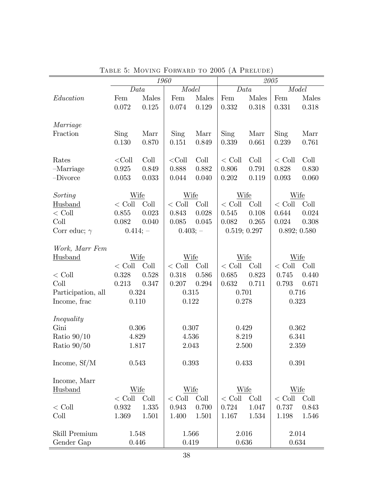|                     |                |       | 1960       |       | 2005           |       |                |       |
|---------------------|----------------|-------|------------|-------|----------------|-------|----------------|-------|
|                     | Data           |       | Model      |       | Data           |       | Model          |       |
| Education           | Fem            | Males | Fem        | Males | Fem            | Males | Fem            | Males |
|                     | 0.072          | 0.125 | 0.074      | 0.129 | 0.332          | 0.318 | 0.331          | 0.318 |
|                     |                |       |            |       |                |       |                |       |
| Marriage            |                |       |            |       |                |       |                |       |
| Fraction            | Sing           | Marr  | Sing       | Marr  | Sing           | Marr  | Sing           | Marr  |
|                     | 0.130          | 0.870 | 0.151      | 0.849 | 0.339          | 0.661 | 0.239          | 0.761 |
|                     |                |       |            |       |                |       |                |       |
| Rates               | $<$ Coll       | Coll  | $<$ Coll   | Coll  | $\rm <$ Coll   | Coll  | $<$ Coll       | Coll  |
| $-Marriage$         | 0.925          | 0.849 | 0.888      | 0.882 | 0.806          | 0.791 | 0.828          | 0.830 |
| $-Divorce$          | 0.053          | 0.033 | 0.044      | 0.040 | 0.202          | 0.119 | 0.093          | 0.060 |
|                     |                |       |            |       |                |       |                |       |
| Sorting             | Wife           |       | Wife       |       | Wife           |       | Wife           |       |
| Husband             | $\langle$ Coll | Coll  | $<$ Coll   | Coll  | $<$ Coll $\,$  | Coll  | $<$ Coll       | Coll  |
| $\langle$ Coll      | 0.855          | 0.023 | 0.843      | 0.028 | 0.545          | 0.108 | 0.644          | 0.024 |
| Coll                | 0.082          | 0.040 | 0.085      | 0.045 | 0.082          | 0.265 | 0.024          | 0.308 |
| Corr educ; $\gamma$ | $0.414; -$     |       | $0.403; -$ |       | 0.519; 0.297   |       | 0.892; 0.580   |       |
|                     |                |       |            |       |                |       |                |       |
| Work, Marr Fem      |                |       |            |       |                |       |                |       |
| Husband             | Wife           |       | Wife       |       | Wife           |       | Wife           |       |
|                     | $\langle$ Coll | Coll  | $<$ Coll   | Coll  | $\langle$ Coll | Coll  | $\langle$ Coll | Coll  |
| $\langle$ Coll      | 0.328          | 0.528 | 0.318      | 0.586 | 0.685          | 0.823 | 0.745          | 0.440 |
| Coll                | 0.213          | 0.347 | 0.207      | 0.294 | 0.632          | 0.711 | 0.793          | 0.671 |
| Participation, all  | 0.324          |       | 0.315      |       | 0.701          |       | 0.716          |       |
| Income, frac        | 0.110          |       | 0.122      |       | 0.278          |       | 0.323          |       |
|                     |                |       |            |       |                |       |                |       |
| Inequality          |                |       |            |       |                |       |                |       |
| Gini                | 0.306          |       | 0.307      |       | 0.429          |       | 0.362          |       |
| Ratio $90/10$       | 4.829          |       | 4.536      |       | 8.219          |       | 6.341          |       |
| Ratio $90/50$       | 1.817          |       | 2.043      |       | 2.500          |       | 2.359          |       |
|                     |                |       |            |       |                |       |                |       |
| Income, $Sf/M$      | 0.543          |       | 0.393      |       | 0.433          |       | 0.391          |       |
|                     |                |       |            |       |                |       |                |       |
| Income, Marr        |                |       |            |       |                |       |                |       |
| Husband             | Wife           |       | Wife       |       | Wife           |       | Wife           |       |
|                     | $\langle$ Coll | Coll  | $<$ Coll   | Coll  | $<$ Coll $\,$  | Coll  | $<$ Coll       | Coll  |
| $\langle$ Coll      | 0.932          | 1.335 | 0.943      | 0.700 | 0.724          | 1.047 | 0.737          | 0.843 |
| Coll                | 1.369          | 1.501 | 1.400      | 1.501 | 1.167          | 1.534 | 1.198          | 1.546 |
|                     |                |       |            |       |                |       |                |       |
| Skill Premium       | 1.548          |       | 1.566      |       | $2.016\,$      |       | 2.014          |       |
| Gender Gap          | 0.446          |       | 0.419      |       | 0.636          |       | 0.634          |       |
|                     |                |       |            |       |                |       |                |       |

Table 5: Moving Forward to 2005 (A Prelude)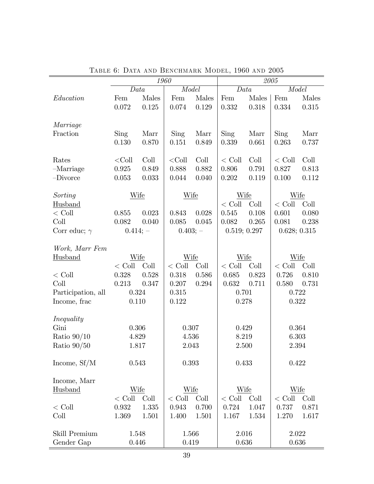| Model<br>Model<br>Data<br>Data<br>Education<br>Males<br>Fem<br>Males<br>Males<br>Fem<br>Fem<br>Fem<br>0.129<br>0.332<br>0.318<br>0.072<br>0.125<br>0.074<br>0.334<br>Marriage<br>Marr<br>Fraction<br>Marr<br>Sing<br>Marr<br>Sing<br>Marr<br>Sing<br>Sing<br>0.870<br>0.849<br>0.339<br>0.661<br>0.263<br>0.130<br>0.151<br>0.737 |  | 1960 | 2005 |  |  |       |
|-----------------------------------------------------------------------------------------------------------------------------------------------------------------------------------------------------------------------------------------------------------------------------------------------------------------------------------|--|------|------|--|--|-------|
|                                                                                                                                                                                                                                                                                                                                   |  |      |      |  |  |       |
|                                                                                                                                                                                                                                                                                                                                   |  |      |      |  |  | Males |
|                                                                                                                                                                                                                                                                                                                                   |  |      |      |  |  | 0.315 |
|                                                                                                                                                                                                                                                                                                                                   |  |      |      |  |  |       |
|                                                                                                                                                                                                                                                                                                                                   |  |      |      |  |  |       |
|                                                                                                                                                                                                                                                                                                                                   |  |      |      |  |  |       |
|                                                                                                                                                                                                                                                                                                                                   |  |      |      |  |  |       |
| Coll<br>Coll<br>Coll<br>$<$ Coll $\,$<br>$<$ Coll<br>$<$ Coll<br>$<$ Coll<br>Rates                                                                                                                                                                                                                                                |  |      |      |  |  | Coll  |
| 0.827<br>0.925<br>0.849<br>0.888<br>0.882<br>0.806<br>0.791<br>$-Marriage$                                                                                                                                                                                                                                                        |  |      |      |  |  | 0.813 |
| $-Divorce$<br>0.053<br>0.033<br>0.044<br>0.040<br>0.202<br>0.119<br>0.100                                                                                                                                                                                                                                                         |  |      |      |  |  | 0.112 |
|                                                                                                                                                                                                                                                                                                                                   |  |      |      |  |  |       |
| Wife<br>Wife<br>Sorting<br><u>Wife</u><br><b>Wife</b>                                                                                                                                                                                                                                                                             |  |      |      |  |  |       |
| Husband<br>$<$ Coll<br>Coll<br>$\langle$ Coll                                                                                                                                                                                                                                                                                     |  |      |      |  |  | Coll  |
| $0.545\,$<br>0.108<br>0.601<br>$<$ Coll<br>0.855<br>0.023<br>0.843<br>0.028                                                                                                                                                                                                                                                       |  |      |      |  |  | 0.080 |
| Coll<br>0.040<br>0.082<br>0.085<br>0.045<br>0.082<br>0.265<br>0.081                                                                                                                                                                                                                                                               |  |      |      |  |  | 0.238 |
| $0.414; -$<br>$0.403; -$<br>0.519; 0.297<br>0.628; 0.315<br>Corr educ; $\gamma$                                                                                                                                                                                                                                                   |  |      |      |  |  |       |
| Work, Marr Fem                                                                                                                                                                                                                                                                                                                    |  |      |      |  |  |       |
| Husband<br>Wife<br>Wife<br>Wife<br>Wife                                                                                                                                                                                                                                                                                           |  |      |      |  |  |       |
| Coll<br>Coll<br>$\langle$ Coll<br>$<$ Coll<br>Coll<br>$<$ Coll<br>$<$ Coll                                                                                                                                                                                                                                                        |  |      |      |  |  | Coll  |
| 0.328<br>0.318<br>0.586<br>0.685<br>0.823<br>0.726<br>$<$ Coll<br>0.528                                                                                                                                                                                                                                                           |  |      |      |  |  | 0.810 |
| Coll<br>0.213<br>0.347<br>0.207<br>0.294<br>0.632<br>0.711<br>0.580                                                                                                                                                                                                                                                               |  |      |      |  |  | 0.731 |
| Participation, all<br>0.324<br>0.315<br>0.701<br>0.722                                                                                                                                                                                                                                                                            |  |      |      |  |  |       |
| Income, frac<br>0.110<br>0.122<br>0.278<br>0.322                                                                                                                                                                                                                                                                                  |  |      |      |  |  |       |
|                                                                                                                                                                                                                                                                                                                                   |  |      |      |  |  |       |
| Inequality                                                                                                                                                                                                                                                                                                                        |  |      |      |  |  |       |
| Gini<br>0.307<br>0.364<br>0.306<br>0.429                                                                                                                                                                                                                                                                                          |  |      |      |  |  |       |
| 6.303<br>Ratio $90/10$<br>4.829<br>4.536<br>8.219                                                                                                                                                                                                                                                                                 |  |      |      |  |  |       |
| Ratio $90/50$<br>2.043<br>2.500<br>2.394<br>1.817                                                                                                                                                                                                                                                                                 |  |      |      |  |  |       |
| Income, $Sf/M$<br>0.393<br>0.543<br>0.433<br>0.422                                                                                                                                                                                                                                                                                |  |      |      |  |  |       |
|                                                                                                                                                                                                                                                                                                                                   |  |      |      |  |  |       |
| Income, Marr                                                                                                                                                                                                                                                                                                                      |  |      |      |  |  |       |
| Wife<br>Husband<br>Wife<br>Wife<br>Wife                                                                                                                                                                                                                                                                                           |  |      |      |  |  |       |
| $<$ Coll<br>Coll<br>Coll<br>Coll<br>$\rm <$ Coll<br>$\langle$ Coll<br>$\rm <$ Coll                                                                                                                                                                                                                                                |  |      |      |  |  | Coll  |
| $<$ Coll<br>0.932<br>1.335<br>0.943<br>0.700<br>0.724<br>1.047<br>0.737                                                                                                                                                                                                                                                           |  |      |      |  |  | 0.871 |
| Coll<br>1.369<br>1.501<br>1.400<br>1.501<br>1.167<br>1.534<br>1.270                                                                                                                                                                                                                                                               |  |      |      |  |  | 1.617 |
| Skill Premium<br>1.548<br>1.566<br>2.016<br>2.022                                                                                                                                                                                                                                                                                 |  |      |      |  |  |       |
| Gender Gap<br>0.419<br>0.636<br>0.446<br>0.636                                                                                                                                                                                                                                                                                    |  |      |      |  |  |       |

TABLE 6: DATA AND BENCHMARK MODEL, 1960 AND 2005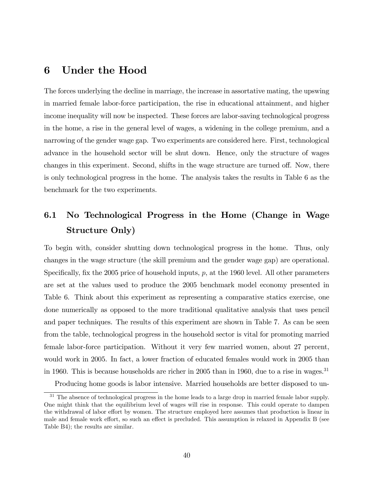### 6 Under the Hood

The forces underlying the decline in marriage, the increase in assortative mating, the upswing in married female labor-force participation, the rise in educational attainment, and higher income inequality will now be inspected. These forces are labor-saving technological progress in the home, a rise in the general level of wages, a widening in the college premium, and a narrowing of the gender wage gap. Two experiments are considered here. First, technological advance in the household sector will be shut down. Hence, only the structure of wages changes in this experiment. Second, shifts in the wage structure are turned off. Now, there is only technological progress in the home. The analysis takes the results in Table 6 as the benchmark for the two experiments.

## 6.1 No Technological Progress in the Home (Change in Wage Structure Only)

To begin with, consider shutting down technological progress in the home. Thus, only changes in the wage structure (the skill premium and the gender wage gap) are operational. Specifically, fix the 2005 price of household inputs,  $p$ , at the 1960 level. All other parameters are set at the values used to produce the 2005 benchmark model economy presented in Table 6. Think about this experiment as representing a comparative statics exercise, one done numerically as opposed to the more traditional qualitative analysis that uses pencil and paper techniques. The results of this experiment are shown in Table 7. As can be seen from the table, technological progress in the household sector is vital for promoting married female labor-force participation. Without it very few married women, about 27 percent, would work in 2005. In fact, a lower fraction of educated females would work in 2005 than in 1960. This is because households are richer in 2005 than in 1960, due to a rise in wages.<sup>31</sup>

Producing home goods is labor intensive. Married households are better disposed to un-

<sup>&</sup>lt;sup>31</sup> The absence of technological progress in the home leads to a large drop in married female labor supply. One might think that the equilibrium level of wages will rise in response. This could operate to dampen the withdrawal of labor effort by women. The structure employed here assumes that production is linear in male and female work effort, so such an effect is precluded. This assumption is relaxed in Appendix B (see Table B4); the results are similar.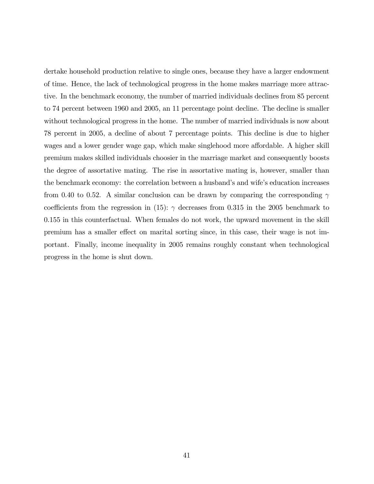dertake household production relative to single ones, because they have a larger endowment of time. Hence, the lack of technological progress in the home makes marriage more attractive. In the benchmark economy, the number of married individuals declines from 85 percent to 74 percent between 1960 and 2005, an 11 percentage point decline. The decline is smaller without technological progress in the home. The number of married individuals is now about 78 percent in 2005, a decline of about 7 percentage points. This decline is due to higher wages and a lower gender wage gap, which make singlehood more affordable. A higher skill premium makes skilled individuals choosier in the marriage market and consequently boosts the degree of assortative mating. The rise in assortative mating is, however, smaller than the benchmark economy: the correlation between a husband's and wife's education increases from 0.40 to 0.52. A similar conclusion can be drawn by comparing the corresponding  $\gamma$ coefficients from the regression in (15):  $\gamma$  decreases from 0.315 in the 2005 benchmark to 0.155 in this counterfactual. When females do not work, the upward movement in the skill premium has a smaller effect on marital sorting since, in this case, their wage is not important. Finally, income inequality in 2005 remains roughly constant when technological progress in the home is shut down.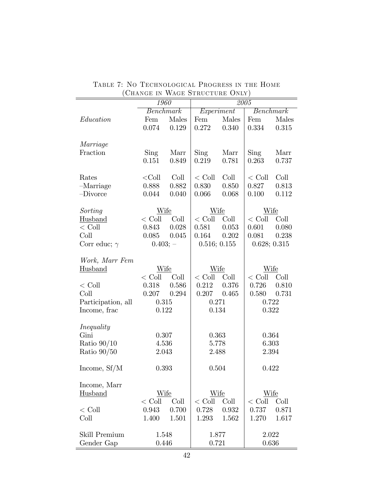|                     | 1960                   |       | 2005          |       |                |       |
|---------------------|------------------------|-------|---------------|-------|----------------|-------|
|                     | $\overline{Benchmark}$ |       | Experiment    |       | Benchmark      |       |
| Education           | Fem                    | Males | Fem           | Males | Fem            | Males |
|                     | 0.074                  | 0.129 | 0.272         | 0.340 | 0.334          | 0.315 |
| Marriage            |                        |       |               |       |                |       |
| Fraction            | Sing                   | Marr  | Sing          | Marr  | Sing           | Marr  |
|                     | 0.151                  | 0.849 | 0.219         | 0.781 | 0.263          | 0.737 |
| Rates               | $<$ Coll               | Coll  | $<$ Coll $\,$ | Coll  | $\langle$ Coll | Coll  |
| $-Marriage$         | 0.888                  | 0.882 | 0.830         | 0.850 | 0.827          | 0.813 |
| $-Divorce$          | 0.044                  | 0.040 | 0.066         | 0.068 | 0.100          | 0.112 |
| Sorting             | Wife                   |       | Wife          |       | Wife           |       |
| Husband             | $<$ Coll               | Coll  | $<$ Coll $\,$ | Coll  | $\langle$ Coll | Coll  |
| $<$ Coll            | 0.843                  | 0.028 | 0.581         | 0.053 | 0.601          | 0.080 |
| Coll                | 0.085                  | 0.045 | 0.164         | 0.202 | 0.081          | 0.238 |
| Corr educ; $\gamma$ | $0.403; -$             |       | 0.516; 0.155  |       | 0.628; 0.315   |       |
| Work, Marr Fem      |                        |       |               |       |                |       |
| Husband             | Wife                   |       | Wife          |       | Wife           |       |
|                     | $<$ Coll               | Coll  | $<$ Coll      | Coll  | $<$ Coll       | Coll  |
| $<$ Coll            | 0.318                  | 0.586 | 0.212         | 0.376 | 0.726          | 0.810 |
| Coll                | 0.207                  | 0.294 | 0.207         | 0.465 | 0.580          | 0.731 |
| Participation, all  | 0.315                  |       | 0.271         |       | 0.722          |       |
| Income, frac        | 0.122                  |       | 0.134         |       | 0.322          |       |
| Inequality          |                        |       |               |       |                |       |
| Gini                | 0.307                  |       | 0.363         |       | 0.364          |       |
| Ratio $90/10$       | 4.536                  |       | 5.778         |       | 6.303          |       |
| Ratio $90/50$       | 2.043                  |       | 2.488         |       | 2.394          |       |
| Income, $Sf/M$      | 0.393                  |       | 0.504         |       | 0.422          |       |
| Income, Marr        |                        |       |               |       |                |       |
| Husband             | Wife                   |       | Wife          |       | Wife           |       |
|                     | $<$ Coll               | Coll  | $<$ Coll      | Coll  | $\langle$ Coll | Coll  |
| $<$ Coll            | 0.943                  | 0.700 | 0.728         | 0.932 | 0.737          | 0.871 |
| Coll                | 1.400                  | 1.501 | 1.293         | 1.562 | 1.270          | 1.617 |
| Skill Premium       | 1.548                  |       | 1.877         |       | 2.022          |       |
| Gender Gap          | 0.446                  |       |               | 0.721 |                | 0.636 |

| TABLE 7: NO TECHNOLOGICAL PROGRESS IN THE HOME |  |  |                                 |  |  |  |
|------------------------------------------------|--|--|---------------------------------|--|--|--|
|                                                |  |  | (CHANGE IN WAGE STRUCTURE ONLY) |  |  |  |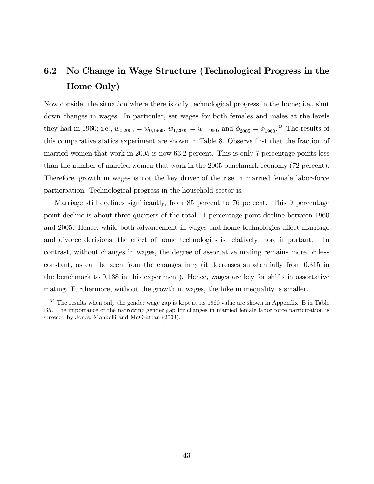## 6.2 No Change in Wage Structure (Technological Progress in the Home Only)

Now consider the situation where there is only technological progress in the home; i.e., shut down changes in wages. In particular, set wages for both females and males at the levels they had in 1960; i.e.,  $w_{0,2005} = w_{0,1960}$ ,  $w_{1,2005} = w_{1,1960}$ , and  $\phi_{2005} = \phi_{1960}$ .<sup>32</sup> The results of this comparative statics experiment are shown in Table 8. Observe first that the fraction of married women that work in 2005 is now 63.2 percent. This is only 7 percentage points less than the number of married women that work in the 2005 benchmark economy (72 percent). Therefore, growth in wages is not the key driver of the rise in married female labor-force participation. Technological progress in the household sector is.

Marriage still declines significantly, from 85 percent to 76 percent. This 9 percentage point decline is about three-quarters of the total 11 percentage point decline between 1960 and 2005. Hence, while both advancement in wages and home technologies affect marriage and divorce decisions, the effect of home technologies is relatively more important. In contrast, without changes in wages, the degree of assortative mating remains more or less constant, as can be seen from the changes in  $\gamma$  (it decreases substantially from 0.315 in the benchmark to 0.138 in this experiment). Hence, wages are key for shifts in assortative mating. Furthermore, without the growth in wages, the hike in inequality is smaller.

<sup>&</sup>lt;sup>32</sup> The results when only the gender wage gap is kept at its 1960 value are shown in Appendix B in Table B5. The importance of the narrowing gender gap for changes in married female labor force participation is stressed by Jones, Manuelli and McGrattan (2003).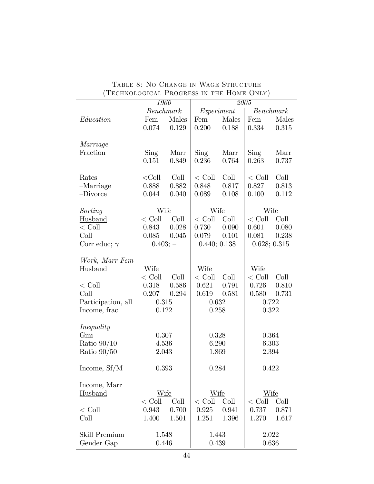|                                  | 1960       |       | 2005         |       |                |       |  |
|----------------------------------|------------|-------|--------------|-------|----------------|-------|--|
|                                  | Benchmark  |       | Experiment   |       | Benchmark      |       |  |
| Education                        | Fem        | Males | Fem          | Males | Fem            | Males |  |
|                                  | 0.074      | 0.129 | 0.200        | 0.188 | 0.334          | 0.315 |  |
| Marriage                         |            |       |              |       |                |       |  |
| Fraction                         | Sing       | Marr  | Sing         | Marr  | Sing           | Marr  |  |
|                                  | 0.151      | 0.849 | 0.236        | 0.764 | 0.263          | 0.737 |  |
| Rates                            | $<$ Coll   | Coll  | $<$ Coll     | Coll  | $\langle$ Coll | Coll  |  |
| $-Marriage$                      | 0.888      | 0.882 | 0.848        | 0.817 | 0.827          | 0.813 |  |
| $-Divorce$                       | 0.044      | 0.040 | 0.089        | 0.108 | 0.100          | 0.112 |  |
| Sorting                          | Wife       |       | Wife         |       | Wife           |       |  |
| Husband                          | $<$ Coll   | Coll  | $<$ Coll     | Coll  | $<$ Coll       | Coll  |  |
| $<$ Coll                         | 0.843      | 0.028 | 0.730        | 0.090 | 0.601          | 0.080 |  |
| Coll                             | 0.085      | 0.045 | 0.079        | 0.101 | 0.081          | 0.238 |  |
| Corr educ; $\gamma$              | $0.403; -$ |       | 0.440; 0.138 |       | 0.628; 0.315   |       |  |
| Work, Marr Fem                   |            |       |              |       |                |       |  |
| Husband                          | Wife       |       | Wife         |       | Wife           |       |  |
|                                  | $<$ Coll   | Coll  | $<$ Coll     | Coll  | $\rm <$ Coll   | Coll  |  |
| $<$ Coll $\,$                    | 0.318      | 0.586 | 0.621        | 0.791 | 0.726          | 0.810 |  |
| Coll                             | 0.207      | 0.294 | 0.619        | 0.581 | 0.580          | 0.731 |  |
| Participation, all               | 0.315      |       | 0.632        |       | 0.722          |       |  |
| Income, frac                     | 0.122      |       |              | 0.258 |                | 0.322 |  |
| Inequality                       |            |       |              |       |                |       |  |
| Gini                             | 0.307      |       | 0.328        |       | 0.364          |       |  |
| Ratio $90/10$                    | 4.536      |       | 6.290        |       | 6.303          |       |  |
| Ratio $90/50$                    | 2.043      |       | 1.869        |       | 2.394          |       |  |
| Income, $\mathrm{Sf}/\mathrm{M}$ | 0.393      |       | 0.284        |       | 0.422          |       |  |
| Income, Marr                     |            |       |              |       |                |       |  |
| Husband                          | Wife       |       | Wife         |       | Wife           |       |  |
|                                  | $<$ Coll   | Coll  | $<$ Coll     | Coll  | $<$ Coll       | Coll  |  |
| $<$ Coll $\,$                    | 0.943      | 0.700 | 0.925        | 0.941 | 0.737          | 0.871 |  |
| Coll                             | 1.400      | 1.501 | 1.251        | 1.396 | 1.270          | 1.617 |  |
| Skill Premium                    | 1.548      |       | 1.443        |       | 2.022          |       |  |
| Gender Gap                       | 0.446      |       | 0.439        |       | 0.636          |       |  |

#### Table 8: No Change in Wage Structure (Technological Progress in the Home Only)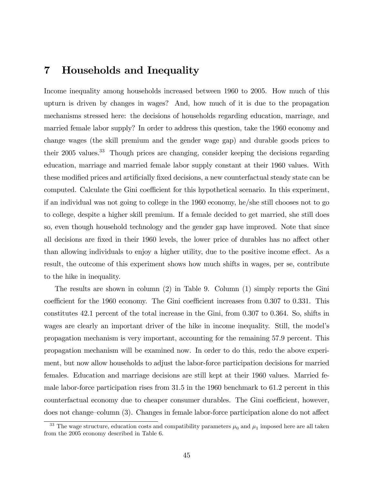## 7 Households and Inequality

Income inequality among households increased between 1960 to 2005. How much of this upturn is driven by changes in wages? And, how much of it is due to the propagation mechanisms stressed here: the decisions of households regarding education, marriage, and married female labor supply? In order to address this question, take the 1960 economy and change wages (the skill premium and the gender wage gap) and durable goods prices to their 2005 values.<sup>33</sup> Though prices are changing, consider keeping the decisions regarding education, marriage and married female labor supply constant at their 1960 values. With these modified prices and artificially fixed decisions, a new counterfactual steady state can be computed. Calculate the Gini coefficient for this hypothetical scenario. In this experiment, if an individual was not going to college in the 1960 economy, he/she still chooses not to go to college, despite a higher skill premium. If a female decided to get married, she still does so, even though household technology and the gender gap have improved. Note that since all decisions are fixed in their 1960 levels, the lower price of durables has no affect other than allowing individuals to enjoy a higher utility, due to the positive income effect. As a result, the outcome of this experiment shows how much shifts in wages, per se, contribute to the hike in inequality.

The results are shown in column (2) in Table 9. Column (1) simply reports the Gini coefficient for the 1960 economy. The Gini coefficient increases from  $0.307$  to  $0.331$ . This constitutes 42.1 percent of the total increase in the Gini, from 0.307 to 0.364. So, shifts in wages are clearly an important driver of the hike in income inequality. Still, the model's propagation mechanism is very important, accounting for the remaining 57.9 percent. This propagation mechanism will be examined now. In order to do this, redo the above experiment, but now allow households to adjust the labor-force participation decisions for married females. Education and marriage decisions are still kept at their 1960 values. Married female labor-force participation rises from 31.5 in the 1960 benchmark to 61.2 percent in this counterfactual economy due to cheaper consumer durables. The Gini coefficient, however, does not change–column (3). Changes in female labor-force participation alone do not affect

<sup>&</sup>lt;sup>33</sup> The wage structure, education costs and compatibility parameters  $\mu_0$  and  $\mu_1$  imposed here are all taken from the 2005 economy described in Table 6.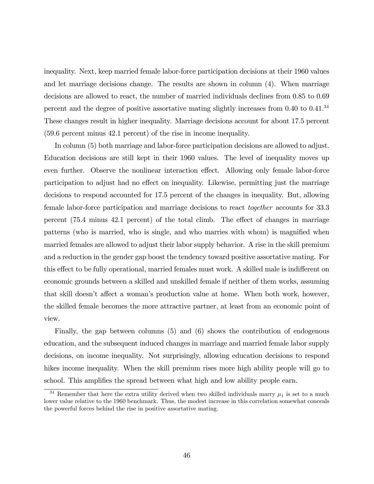inequality. Next, keep married female labor-force participation decisions at their 1960 values and let marriage decisions change. The results are shown in column (4). When marriage decisions are allowed to react, the number of married individuals declines from 0.85 to 0.69 percent and the degree of positive assortative mating slightly increases from 0.40 to 0.41.<sup>34</sup> These changes result in higher inequality. Marriage decisions account for about 17.5 percent (59.6 percent minus 42.1 percent) of the rise in income inequality.

In column (5) both marriage and labor-force participation decisions are allowed to adjust. Education decisions are still kept in their 1960 values. The level of inequality moves up even further. Observe the nonlinear interaction effect. Allowing only female labor-force participation to adjust had no effect on inequality. Likewise, permitting just the marriage decisions to respond accounted for 17.5 percent of the changes in inequality. But, allowing female labor-force participation and marriage decisions to react together accounts for 33.3 percent  $(75.4 \text{ minus } 42.1 \text{ percent})$  of the total climb. The effect of changes in marriage patterns (who is married, who is single, and who marries with whom) is magnified when married females are allowed to adjust their labor supply behavior. A rise in the skill premium and a reduction in the gender gap boost the tendency toward positive assortative mating. For this effect to be fully operational, married females must work. A skilled male is indifferent on economic grounds between a skilled and unskilled female if neither of them works, assuming that skill doesn't affect a woman's production value at home. When both work, however, the skilled female becomes the more attractive partner, at least from an economic point of view.

Finally, the gap between columns (5) and (6) shows the contribution of endogenous education, and the subsequent induced changes in marriage and married female labor supply decisions, on income inequality. Not surprisingly, allowing education decisions to respond hikes income inequality. When the skill premium rises more high ability people will go to school. This amplifies the spread between what high and low ability people earn.

<sup>&</sup>lt;sup>34</sup> Remember that here the extra utility derived when two skilled individuals marry  $\mu_1$  is set to a much lower value relative to the 1960 benchmark. Thus, the modest increase in this correlation somewhat conceals the powerful forces behind the rise in positive assortative mating.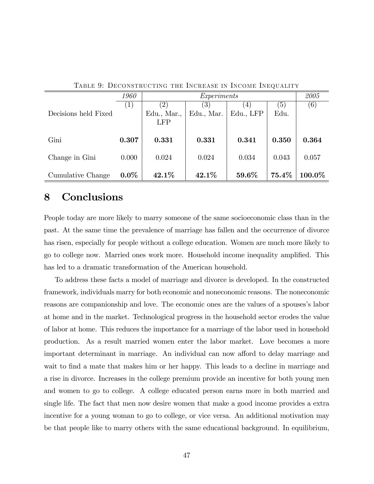|                      | 1960    |                  | Experiments      |           |       |                   |  |  |
|----------------------|---------|------------------|------------------|-----------|-------|-------------------|--|--|
|                      | $\perp$ | $\left(2\right)$ | $\left(3\right)$ | $\pm$     | (5)   | $\left( 6\right)$ |  |  |
| Decisions held Fixed |         | Edu., Mar.,      | Edu., Mar.       | Edu., LFP | Edu.  |                   |  |  |
|                      |         | <b>LFP</b>       |                  |           |       |                   |  |  |
|                      |         |                  |                  |           |       |                   |  |  |
| Gini                 | 0.307   | 0.331            | 0.331            | 0.341     | 0.350 | 0.364             |  |  |
|                      |         |                  |                  |           |       |                   |  |  |
| Change in Gini       | 0.000   | 0.024            | 0.024            | 0.034     | 0.043 | 0.057             |  |  |
|                      |         |                  |                  |           |       |                   |  |  |
| Cumulative Change    | $0.0\%$ | $42.1\%$         | 42.1%            | $59.6\%$  | 75.4% | $100.0\%$         |  |  |

TABLE 9: DECONSTRUCTING THE INCREASE IN INCOME INFOUALITY

## 8 Conclusions

People today are more likely to marry someone of the same socioeconomic class than in the past. At the same time the prevalence of marriage has fallen and the occurrence of divorce has risen, especially for people without a college education. Women are much more likely to go to college now. Married ones work more. Household income inequality amplified. This has led to a dramatic transformation of the American household.

To address these facts a model of marriage and divorce is developed. In the constructed framework, individuals marry for both economic and noneconomic reasons. The noneconomic reasons are companionship and love. The economic ones are the values of a spouses's labor at home and in the market. Technological progress in the household sector erodes the value of labor at home. This reduces the importance for a marriage of the labor used in household production. As a result married women enter the labor market. Love becomes a more important determinant in marriage. An individual can now afford to delay marriage and wait to find a mate that makes him or her happy. This leads to a decline in marriage and a rise in divorce. Increases in the college premium provide an incentive for both young men and women to go to college. A college educated person earns more in both married and single life. The fact that men now desire women that make a good income provides a extra incentive for a young woman to go to college, or vice versa. An additional motivation may be that people like to marry others with the same educational background. In equilibrium,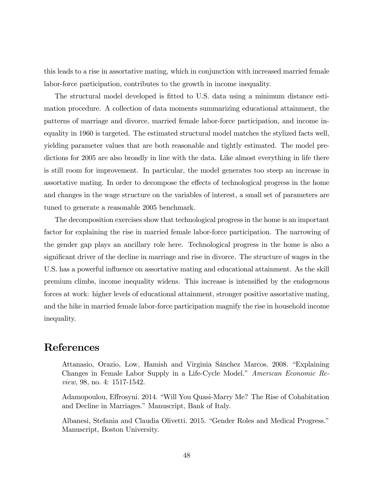this leads to a rise in assortative mating, which in conjunction with increased married female labor-force participation, contributes to the growth in income inequality.

The structural model developed is fitted to U.S. data using a minimum distance estimation procedure. A collection of data moments summarizing educational attainment, the patterns of marriage and divorce, married female labor-force participation, and income inequality in 1960 is targeted. The estimated structural model matches the stylized facts well, yielding parameter values that are both reasonable and tightly estimated. The model predictions for 2005 are also broadly in line with the data. Like almost everything in life there is still room for improvement. In particular, the model generates too steep an increase in assortative mating. In order to decompose the effects of technological progress in the home and changes in the wage structure on the variables of interest, a small set of parameters are tuned to generate a reasonable 2005 benchmark.

The decomposition exercises show that technological progress in the home is an important factor for explaining the rise in married female labor-force participation. The narrowing of the gender gap plays an ancillary role here. Technological progress in the home is also a significant driver of the decline in marriage and rise in divorce. The structure of wages in the U.S. has a powerful influence on assortative mating and educational attainment. As the skill premium climbs, income inequality widens. This increase is intensified by the endogenous forces at work: higher levels of educational attainment, stronger positive assortative mating, and the hike in married female labor-force participation magnify the rise in household income inequality.

#### References

Attanasio, Orazio, Low, Hamish and Virginia Sánchez Marcos. 2008. "Explaining Changes in Female Labor Supply in a Life-Cycle Model." American Economic Review, 98, no. 4: 1517-1542.

Adamopoulou, Effrosyni. 2014. "Will You Quasi-Marry Me? The Rise of Cohabitation and Decline in Marriages." Manuscript, Bank of Italy.

Albanesi, Stefania and Claudia Olivetti. 2015. "Gender Roles and Medical Progress." Manuscript, Boston University.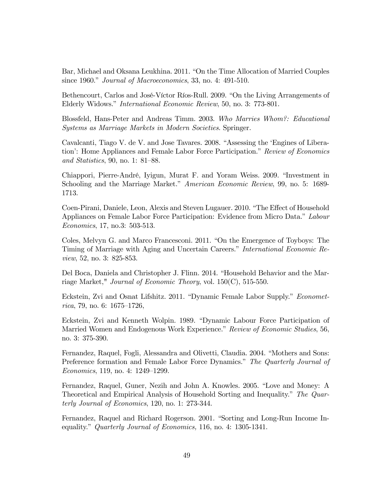Bar, Michael and Oksana Leukhina. 2011. "On the Time Allocation of Married Couples since 1960." Journal of Macroeconomics, 33, no. 4: 491-510.

Bethencourt, Carlos and José-Víctor Ríos-Rull. 2009. "On the Living Arrangements of Elderly Widows." *International Economic Review*, 50, no. 3: 773-801.

Blossfeld, Hans-Peter and Andreas Timm. 2003. Who Marries Whom?: Educational Systems as Marriage Markets in Modern Societies. Springer.

Cavalcanti, Tiago V. de V. and Jose Tavares. 2008. "Assessing the 'Engines of Liberation: Home Appliances and Female Labor Force Participation." Review of Economics and Statistics, 90, no. 1: 81–88.

Chiappori, Pierre-André, Iyigun, Murat F. and Yoram Weiss. 2009. "Investment in Schooling and the Marriage Market." American Economic Review, 99, no. 5: 1689-1713.

Coen-Pirani, Daniele, Leon, Alexis and Steven Lugauer. 2010. "The Effect of Household Appliances on Female Labor Force Participation: Evidence from Micro Data.<sup>n</sup> Labour Economics, 17, no.3: 503-513.

Coles, Melvyn G. and Marco Francesconi. 2011. "On the Emergence of Toyboys: The Timing of Marriage with Aging and Uncertain Careers." International Economic Review, 52, no. 3: 825-853.

Del Boca, Daniela and Christopher J. Flinn. 2014. "Household Behavior and the Marriage Market," Journal of Economic Theory, vol. 150(C), 515-550.

Eckstein, Zvi and Osnat Lifshitz. 2011. "Dynamic Female Labor Supply." *Economet*rica, 79, no. 6:  $1675-1726$ ,

Eckstein, Zvi and Kenneth Wolpin. 1989. "Dynamic Labour Force Participation of Married Women and Endogenous Work Experience." Review of Economic Studies, 56, no. 3: 375-390.

Fernandez, Raquel, Fogli, Alessandra and Olivetti, Claudia. 2004. "Mothers and Sons: Preference formation and Female Labor Force Dynamics." The Quarterly Journal of Economics, 119, no. 4:  $1249-1299$ .

Fernandez, Raquel, Guner, Nezih and John A. Knowles. 2005. "Love and Money: A Theoretical and Empirical Analysis of Household Sorting and Inequality.<sup>*n*</sup> The Quarterly Journal of Economics, 120, no. 1: 273-344.

Fernandez, Raquel and Richard Rogerson. 2001. "Sorting and Long-Run Income Inequality." Quarterly Journal of Economics, 116, no. 4: 1305-1341.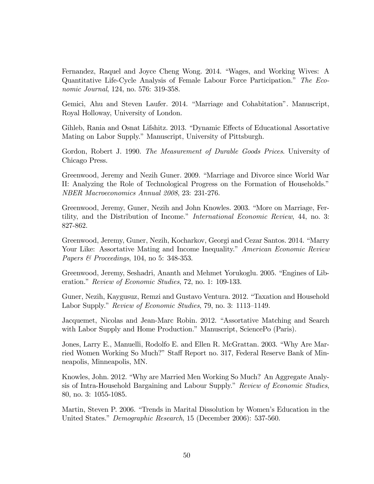Fernandez, Raquel and Joyce Cheng Wong. 2014. "Wages, and Working Wives: A Quantitative Life-Cycle Analysis of Female Labour Force Participation." The Economic Journal, 124, no. 576: 319-358.

Gemici, Ahu and Steven Laufer. 2014. "Marriage and Cohabitation". Manuscript, Royal Holloway, University of London.

Gihleb, Rania and Osnat Lifshitz. 2013. "Dynamic Effects of Educational Assortative Mating on Labor Supply." Manuscript, University of Pittsburgh.

Gordon, Robert J. 1990. The Measurement of Durable Goods Prices. University of Chicago Press.

Greenwood, Jeremy and Nezih Guner. 2009. "Marriage and Divorce since World War II: Analyzing the Role of Technological Progress on the Formation of Households.<sup>"</sup> NBER Macroeconomics Annual 2008, 23: 231-276.

Greenwood, Jeremy, Guner, Nezih and John Knowles. 2003. "More on Marriage, Fertility, and the Distribution of Income." International Economic Review, 44, no. 3: 827-862.

Greenwood, Jeremy, Guner, Nezih, Kocharkov, Georgi and Cezar Santos. 2014. "Marry Your Like: Assortative Mating and Income Inequality.<sup>"</sup> American Economic Review Papers  $\mathcal B$  Proceedings, 104, no 5: 348-353.

Greenwood, Jeremy, Seshadri, Ananth and Mehmet Yorukoglu. 2005. "Engines of Liberation." Review of Economic Studies, 72, no. 1: 109-133.

Guner, Nezih, Kaygusuz, Remzi and Gustavo Ventura. 2012. "Taxation and Household Labor Supply." Review of Economic Studies, 79, no. 3: 1113–1149.

Jacquemet, Nicolas and Jean-Marc Robin. 2012. "Assortative Matching and Search" with Labor Supply and Home Production." Manuscript, SciencePo (Paris).

Jones, Larry E., Manuelli, Rodolfo E. and Ellen R. McGrattan. 2003. "Why Are Married Women Working So Much?" Staff Report no. 317, Federal Reserve Bank of Minneapolis, Minneapolis, MN.

Knowles, John. 2012. "Why are Married Men Working So Much? An Aggregate Analysis of Intra-Household Bargaining and Labour Supply." Review of Economic Studies, 80, no. 3: 1055-1085.

Martin, Steven P. 2006. "Trends in Marital Dissolution by Women's Education in the United States." Demographic Research, 15 (December 2006): 537-560.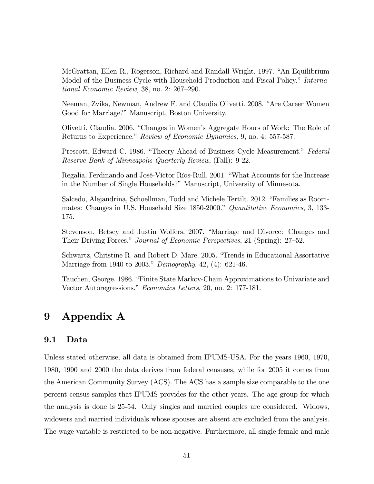McGrattan, Ellen R., Rogerson, Richard and Randall Wright. 1997. "An Equilibrium Model of the Business Cycle with Household Production and Fiscal Policy." International Economic Review, 38, no. 2:  $267-290$ .

Neeman, Zvika, Newman, Andrew F. and Claudia Olivetti. 2008. "Are Career Women Good for Marriage?" Manuscript, Boston University.

Olivetti, Claudia. 2006. "Changes in Women's Aggregate Hours of Work: The Role of Returns to Experience." Review of Economic Dynamics, 9, no. 4: 557-587.

Prescott, Edward C. 1986. "Theory Ahead of Business Cycle Measurement." Federal Reserve Bank of Minneapolis Quarterly Review, (Fall): 9-22.

Regalia, Ferdinando and José-Víctor Ríos-Rull. 2001. "What Accounts for the Increase in the Number of Single Households?" Manuscript, University of Minnesota.

Salcedo, Alejandrina, Schoellman, Todd and Michele Tertilt. 2012. "Families as Roommates: Changes in U.S. Household Size 1850-2000." Quantitative Economics, 3, 133-175.

Stevenson, Betsey and Justin Wolfers. 2007. "Marriage and Divorce: Changes and Their Driving Forces." Journal of Economic Perspectives, 21 (Spring): 27–52.

Schwartz, Christine R. and Robert D. Mare. 2005. "Trends in Educational Assortative Marriage from 1940 to 2003." Demography, 42, (4): 621-46.

Tauchen, George. 1986. "Finite State Markov-Chain Approximations to Univariate and Vector Autoregressions." Economics Letters, 20, no. 2: 177-181.

## 9 Appendix A

#### 9.1 Data

Unless stated otherwise, all data is obtained from IPUMS-USA. For the years 1960, 1970, 1980, 1990 and 2000 the data derives from federal censuses, while for 2005 it comes from the American Community Survey (ACS). The ACS has a sample size comparable to the one percent census samples that IPUMS provides for the other years. The age group for which the analysis is done is 25-54. Only singles and married couples are considered. Widows, widowers and married individuals whose spouses are absent are excluded from the analysis. The wage variable is restricted to be non-negative. Furthermore, all single female and male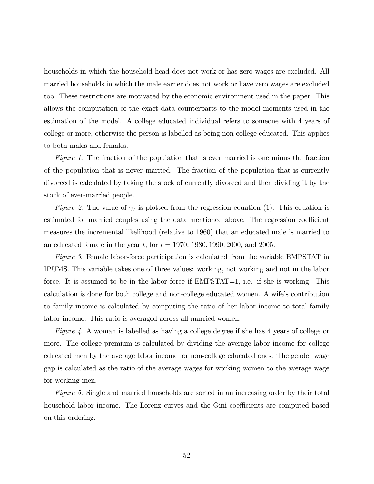households in which the household head does not work or has zero wages are excluded. All married households in which the male earner does not work or have zero wages are excluded too. These restrictions are motivated by the economic environment used in the paper. This allows the computation of the exact data counterparts to the model moments used in the estimation of the model. A college educated individual refers to someone with 4 years of college or more, otherwise the person is labelled as being non-college educated. This applies to both males and females.

Figure 1. The fraction of the population that is ever married is one minus the fraction of the population that is never married. The fraction of the population that is currently divorced is calculated by taking the stock of currently divorced and then dividing it by the stock of ever-married people.

Figure 2. The value of  $\gamma_t$  is plotted from the regression equation (1). This equation is estimated for married couples using the data mentioned above. The regression coefficient measures the incremental likelihood (relative to 1960) that an educated male is married to an educated female in the year t, for  $t = 1970, 1980, 1990, 2000,$  and 2005.

Figure 3. Female labor-force participation is calculated from the variable EMPSTAT in IPUMS. This variable takes one of three values: working, not working and not in the labor force. It is assumed to be in the labor force if  $EMPSTAT=1$ , i.e. if she is working. This calculation is done for both college and non-college educated women. A wifeís contribution to family income is calculated by computing the ratio of her labor income to total family labor income. This ratio is averaged across all married women.

Figure 4. A woman is labelled as having a college degree if she has 4 years of college or more. The college premium is calculated by dividing the average labor income for college educated men by the average labor income for non-college educated ones. The gender wage gap is calculated as the ratio of the average wages for working women to the average wage for working men.

Figure 5. Single and married households are sorted in an increasing order by their total household labor income. The Lorenz curves and the Gini coefficients are computed based on this ordering.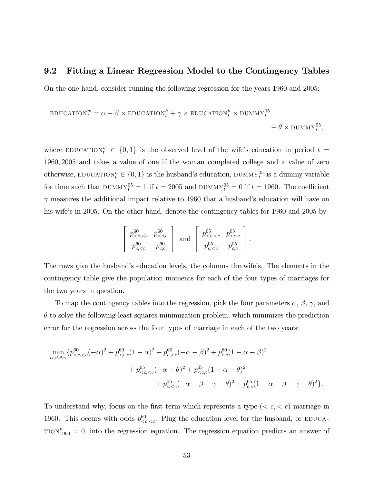#### 9.2 Fitting a Linear Regression Model to the Contingency Tables

On the one hand, consider running the following regression for the years 1960 and 2005:

$$
\text{EDUCATION}^w_t = \alpha + \beta \times \text{EDUCATION}^h_t + \gamma \times \text{EDUCATION}^h_t \times \text{DUMMY}^{05}_t
$$
  
+  $\theta \times \text{DUMMY}^{05}_t$ ,

where EDUCATION<sup>w</sup>  $\in \{0,1\}$  is the observed level of the wife's education in period  $t =$ 1960; 2005 and takes a value of one if the woman completed college and a value of zero otherwise, EDUCATION $_t^h \in \{0, 1\}$  is the husband's education, DUMMY $_t^{05}$  is a dummy variable for time such that  $\text{DUMMY}^{05}_{t} = 1$  if  $t = 2005$  and  $\text{DUMMY}^{05}_{t} = 0$  if  $t = 1960$ . The coefficient  $\gamma$  measures the additional impact relative to 1960 that a husband's education will have on his wife's in 2005. On the other hand, denote the contingency tables for 1960 and 2005 by

$$
\begin{bmatrix} p^{60}_{ and 
$$
\begin{bmatrix} p^{05}_{.
$$
$$

The rows give the husband's education levels, the columns the wife's. The elements in the contingency table give the population moments for each of the four types of marriages for the two years in question.

To map the contingency tables into the regression, pick the four parameters  $\alpha$ ,  $\beta$ ,  $\gamma$ , and  $\theta$  to solve the following least squares minimization problem, which minimizes the prediction error for the regression across the four types of marriage in each of the two years:

$$
\min_{\alpha,\beta,\theta,\gamma} \{p_{
$$

To understand why, focus on the first term which represents a type-( $\lt c, \lt c$ ) marriage in 1960. This occurs with odds  $p_{\langle c,\langle c\rangle}^{60}$ . Plug the education level for the husband, or EDUCA- $TION_{1960}^h = 0$ , into the regression equation. The regression equation predicts an answer of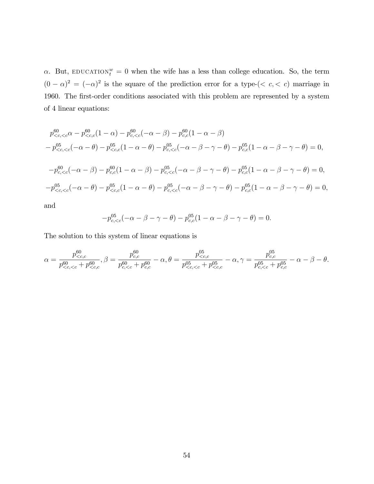$\alpha$ . But, EDUCATION<sup>w</sup> = 0 when the wife has a less than college education. So, the term  $(0 - \alpha)^2 = (-\alpha)^2$  is the square of the prediction error for a type-( $\lt c, \lt c$ ) marriage in 1960. The first-order conditions associated with this problem are represented by a system of 4 linear equations:

$$
p_{\langle c,\langle c}^{60} \alpha - p_{\langle c,\langle c}^{60}(1-\alpha) - p_{c,\langle c}^{60}(-\alpha-\beta) - p_{c,c}^{60}(1-\alpha-\beta) - p_{c,c}^{60}(1-\alpha-\beta) - p_{c,c}^{60}(1-\alpha-\beta-1) - p_{c,c}^{60}(1-\alpha-\beta-\gamma-\theta) - p_{c,c}^{60}(1-\alpha-\beta-\gamma-\theta) = 0,
$$
  

$$
-p_{c,\langle c}^{60} \alpha - \alpha - \beta - p_{c,c}^{60}(1-\alpha-\beta) - p_{c,\langle c}^{60}(-\alpha-\beta-\gamma-\theta) - p_{c,c}^{60}(1-\alpha-\beta-\gamma-\theta) = 0,
$$
  

$$
-p_{\langle c,\langle c}^{60} \alpha - \alpha - \beta - p_{c,c}^{60}(1-\alpha-\beta) - p_{c,\langle c}^{60}(-\alpha-\beta-\gamma-\theta) - p_{c,c}^{60}(1-\alpha-\beta-\gamma-\theta) = 0,
$$

and

$$
-p_{c,
$$

The solution to this system of linear equations is

$$
\alpha = \frac{p_{
$$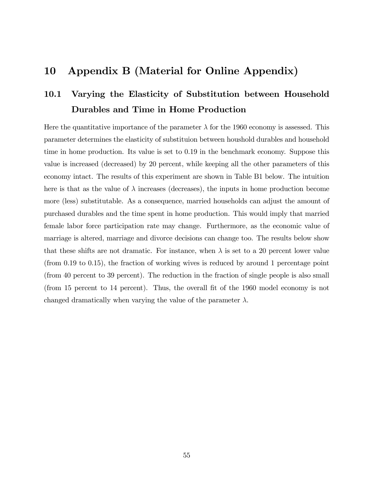## 10 Appendix B (Material for Online Appendix)

## 10.1 Varying the Elasticity of Substitution between Household Durables and Time in Home Production

Here the quantitative importance of the parameter  $\lambda$  for the 1960 economy is assessed. This parameter determines the elasticity of substituion between houshold durables and household time in home production. Its value is set to 0.19 in the benchmark economy. Suppose this value is increased (decreased) by 20 percent, while keeping all the other parameters of this economy intact. The results of this experiment are shown in Table B1 below. The intuition here is that as the value of  $\lambda$  increases (decreases), the inputs in home production become more (less) substitutable. As a consequence, married households can adjust the amount of purchased durables and the time spent in home production. This would imply that married female labor force participation rate may change. Furthermore, as the economic value of marriage is altered, marriage and divorce decisions can change too. The results below show that these shifts are not dramatic. For instance, when  $\lambda$  is set to a 20 percent lower value (from 0.19 to 0.15), the fraction of working wives is reduced by around 1 percentage point (from 40 percent to 39 percent). The reduction in the fraction of single people is also small (from 15 percent to 14 percent). Thus, the overall Öt of the 1960 model economy is not changed dramatically when varying the value of the parameter  $\lambda$ .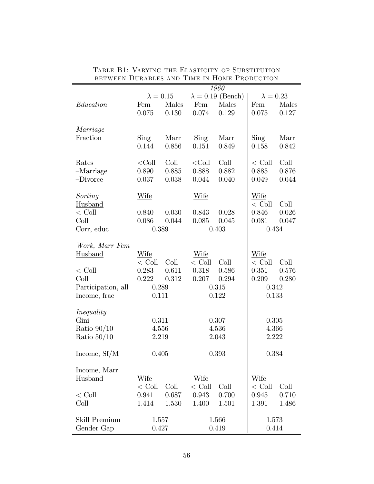|                    |                  |       |                | 1960                     |                  |       |
|--------------------|------------------|-------|----------------|--------------------------|------------------|-------|
|                    | $\lambda = 0.15$ |       |                | $\lambda = 0.19$ (Bench) | $\lambda = 0.23$ |       |
| Education          | Fem              | Males | Fem            | Males                    | Fem              | Males |
|                    | 0.075            | 0.130 | 0.074          | 0.129                    | 0.075            | 0.127 |
|                    |                  |       |                |                          |                  |       |
| Marriage           |                  |       |                |                          |                  |       |
| Fraction           | Sing             | Marr  | Sing           | Marr                     | $\mathrm{Sing}$  | Marr  |
|                    | 0.144            | 0.856 | 0.151          | 0.849                    | 0.158            | 0.842 |
|                    |                  |       |                |                          |                  |       |
| Rates              | $<$ Coll         | Coll  | $<$ Coll       | Coll                     | $\langle$ Coll   | Coll  |
| $-Marriage$        | 0.890            | 0.885 | 0.888          | 0.882                    | 0.885            | 0.876 |
| $-Divorce$         | 0.037            | 0.038 | 0.044          | 0.040                    | 0.049            | 0.044 |
|                    |                  |       |                |                          |                  |       |
| Sorting            | Wife             |       | Wife           |                          | Wife             |       |
|                    |                  |       |                |                          | $\langle$ Coll   | Coll  |
| Husband            |                  |       |                |                          |                  |       |
| $<$ Coll           | 0.840            | 0.030 | 0.843          | 0.028                    | 0.846            | 0.026 |
| Coll               | 0.086            | 0.044 | 0.085          | 0.045                    | 0.081            | 0.047 |
| Corr, educ         | 0.389            |       |                | 0.403                    | 0.434            |       |
|                    |                  |       |                |                          |                  |       |
| Work, Marr Fem     |                  |       |                |                          |                  |       |
| Husband            | Wife             |       | Wife           |                          | Wife             |       |
|                    | $<$ Coll         | Coll  | $\langle$ Coll | Coll                     | $\langle$ Coll   | Coll  |
| $<$ Coll           | 0.283            | 0.611 | 0.318          | 0.586                    | 0.351            | 0.576 |
| Coll               | 0.222            | 0.312 | 0.207          | 0.294                    | 0.209            | 0.280 |
| Participation, all | 0.289            |       |                | 0.315                    | 0.342            |       |
| Income, frac       | 0.111            |       |                | 0.122                    | 0.133            |       |
|                    |                  |       |                |                          |                  |       |
| Inequality         |                  |       |                |                          |                  |       |
| Gini               | 0.311            |       |                | 0.307                    | 0.305            |       |
| Ratio $90/10$      | 4.556            |       |                | 4.536                    | 4.366            |       |
| Ratio $50/10$      | 2.219            |       |                | 2.043                    | 2.222            |       |
|                    |                  |       |                |                          |                  |       |
| Income, $Sf/M$     | 0.405            |       |                | 0.393                    | 0.384            |       |
|                    |                  |       |                |                          |                  |       |
| Income, Marr       |                  |       |                |                          |                  |       |
| Husband            | Wife             |       | Wife           |                          | Wife             |       |
|                    | $<$ Coll         | Coll  | $<$ Coll       | Coll                     | $\rm <$ Coll     | Coll  |
| $<$ Coll           | 0.941            | 0.687 | 0.943          | 0.700                    | 0.945            | 0.710 |
|                    |                  |       |                |                          |                  |       |
| Coll               | 1.414            | 1.530 | 1.400          | 1.501                    | 1.391            | 1.486 |
|                    |                  |       |                |                          |                  |       |
| Skill Premium      | 1.557            |       |                | 1.566                    | 1.573            |       |
| Gender Gap         | 0.427            |       |                | 0.419                    | 0.414            |       |

|  |  | TABLE B1: VARYING THE ELASTICITY OF SUBSTITUTION |
|--|--|--------------------------------------------------|
|  |  | BETWEEN DURABLES AND TIME IN HOME PRODUCTION     |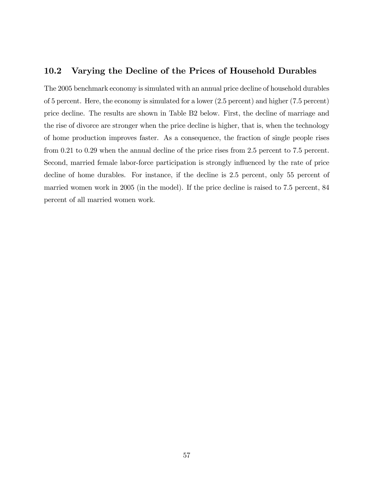#### 10.2 Varying the Decline of the Prices of Household Durables

The 2005 benchmark economy is simulated with an annual price decline of household durables of 5 percent. Here, the economy is simulated for a lower (2.5 percent) and higher (7.5 percent) price decline. The results are shown in Table B2 below. First, the decline of marriage and the rise of divorce are stronger when the price decline is higher, that is, when the technology of home production improves faster. As a consequence, the fraction of single people rises from 0.21 to 0.29 when the annual decline of the price rises from 2.5 percent to 7.5 percent. Second, married female labor-force participation is strongly influenced by the rate of price decline of home durables. For instance, if the decline is 2.5 percent, only 55 percent of married women work in 2005 (in the model). If the price decline is raised to 7.5 percent, 84 percent of all married women work.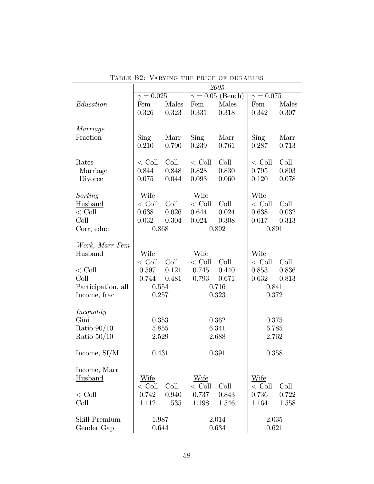|                    | 2005             |       |             |                         |                  |       |  |
|--------------------|------------------|-------|-------------|-------------------------|------------------|-------|--|
|                    | $\gamma = 0.025$ |       |             | $\gamma = 0.05$ (Bench) | $\gamma = 0.075$ |       |  |
| Education          | Fem              | Males | Fem         | Males                   | Fem              | Males |  |
|                    | 0.326            | 0.323 | 0.331       | 0.318                   | 0.342            | 0.307 |  |
|                    |                  |       |             |                         |                  |       |  |
| Marriage           |                  |       |             |                         |                  |       |  |
| Fraction           | Sing             | Marr  | Sing        | Marr                    | $\mathrm{Sing}$  | Marr  |  |
|                    | 0.210            | 0.790 | 0.239       | 0.761                   | 0.287            | 0.713 |  |
|                    |                  |       |             |                         |                  |       |  |
|                    |                  |       |             |                         |                  |       |  |
| Rates              | $\rm <$ Coll     | Coll  | $<$ Coll    | Coll                    | $<$ Coll         | Coll  |  |
| $-Marriage$        | 0.844            | 0.848 | 0.828       | 0.830                   | 0.795            | 0.803 |  |
| $-Divorce$         | 0.075            | 0.044 | 0.093       | 0.060                   | 0.120            | 0.078 |  |
|                    |                  |       |             |                         |                  |       |  |
| Sorting            | <b>Wife</b>      |       | <b>Wife</b> |                         | <u>Wife</u>      |       |  |
| Husband            | $\langle$ Coll   | Coll  | $<$ Coll    | Coll                    | $<$ Coll         | Coll  |  |
| $\rm <$ Coll       | 0.638            | 0.026 | 0.644       | 0.024                   | 0.638            | 0.032 |  |
| Coll               | 0.032            | 0.304 | 0.024       | 0.308                   | 0.017            | 0.313 |  |
| Corr, educ         | 0.868            |       | 0.892       |                         | 0.891            |       |  |
|                    |                  |       |             |                         |                  |       |  |
| Work, Marr Fem     |                  |       |             |                         |                  |       |  |
| Husband            | Wife             |       | Wife        |                         | Wife             |       |  |
|                    |                  |       |             |                         |                  |       |  |
|                    | $<$ Coll         | Coll  | $<$ Coll    | Coll                    | $\langle$ Coll   | Coll  |  |
| $\rm <$ Coll       | 0.597            | 0.121 | 0.745       | 0.440                   | 0.853            | 0.836 |  |
| Coll               | 0.744            | 0.481 | 0.793       | 0.671                   | 0.632            | 0.813 |  |
| Participation, all | 0.554            |       | 0.716       |                         | 0.841            |       |  |
| Income, frac       | 0.257            |       | 0.323       |                         | 0.372            |       |  |
|                    |                  |       |             |                         |                  |       |  |
| Inequality         |                  |       |             |                         |                  |       |  |
| Gini               | 0.353            |       | 0.362       |                         | 0.375            |       |  |
| Ratio $90/10$      | 5.855            |       | 6.341       |                         | 6.785            |       |  |
| Ratio $50/10$      | 2.529            |       | 2.688       |                         | 2.762            |       |  |
|                    |                  |       |             |                         |                  |       |  |
| Income, Sf/M       |                  |       | 0.391       |                         | 0.358            |       |  |
|                    | 0.431            |       |             |                         |                  |       |  |
|                    |                  |       |             |                         |                  |       |  |
| Income, Marr       |                  |       |             |                         |                  |       |  |
| Husband            | Wife             |       | Wife        |                         | Wife             |       |  |
|                    | $<$ Coll         | Coll  | $<$ Coll    | Coll                    | $\rm <$ Coll     | Coll  |  |
| $\langle$ Coll     | 0.742            | 0.940 | 0.737       | 0.843                   | 0.736            | 0.722 |  |
| Coll               | 1.112            | 1.535 | 1.198       | 1.546                   | 1.164            | 1.558 |  |
|                    |                  |       |             |                         |                  |       |  |
| Skill Premium      | 1.987            |       | 2.014       |                         | 2.035            |       |  |
| Gender Gap         | 0.644            |       | 0.634       |                         | 0.621            |       |  |

Table B2: Varying the price of durables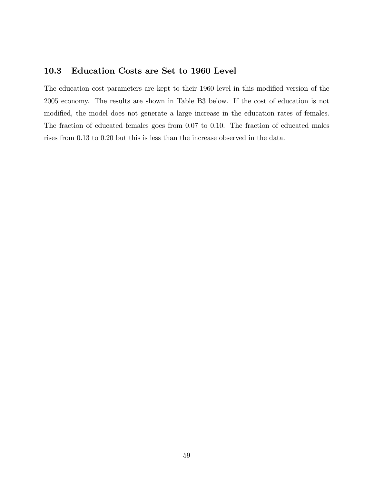#### 10.3 Education Costs are Set to 1960 Level

The education cost parameters are kept to their 1960 level in this modified version of the 2005 economy. The results are shown in Table B3 below. If the cost of education is not modified, the model does not generate a large increase in the education rates of females. The fraction of educated females goes from 0.07 to 0.10. The fraction of educated males rises from 0.13 to 0.20 but this is less than the increase observed in the data.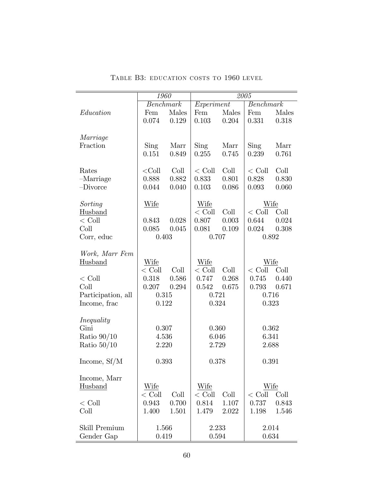|                                  | 1960<br>Benchmark |       | 2005          |       |                |       |  |
|----------------------------------|-------------------|-------|---------------|-------|----------------|-------|--|
|                                  |                   |       | Experiment    |       | Benchmark      |       |  |
| Education                        | Fem               | Males | Fem           | Males | Fem            | Males |  |
|                                  | 0.074             | 0.129 | 0.103         | 0.204 | 0.331          | 0.318 |  |
| Marriage                         |                   |       |               |       |                |       |  |
| Fraction                         | Sing              | Marr  | Sing          | Marr  | Sing           | Marr  |  |
|                                  | 0.151             | 0.849 | 0.255         | 0.745 | 0.239          | 0.761 |  |
| Rates                            | $<$ Coll          | Coll  | $\rm <$ Coll  | Coll  | $\langle$ Coll | Coll  |  |
| $-Marriage$                      | 0.888             | 0.882 | 0.833         | 0.801 | 0.828          | 0.830 |  |
| $-Divorce$                       | 0.044             | 0.040 | 0.103         | 0.086 | 0.093          | 0.060 |  |
| Sorting                          | Wife              |       | <b>Wife</b>   |       | Wife           |       |  |
| Husband                          |                   |       | $<$ Coll      | Coll  | $<$ Coll       | Coll  |  |
| $<$ Coll                         | 0.843             | 0.028 | 0.807         | 0.003 | 0.644          | 0.024 |  |
| Coll                             | 0.085             | 0.045 | 0.081         | 0.109 | 0.024          | 0.308 |  |
| Corr, educ                       | 0.403             |       | 0.707         |       | 0.892          |       |  |
| Work, Marr Fem                   |                   |       |               |       |                |       |  |
| Husband                          | Wife              |       | Wife          |       | Wife           |       |  |
|                                  | $<$ Coll          | Coll  | $<$ Coll      | Coll  | $<$ Coll       | Coll  |  |
| $<$ Coll                         | 0.318             | 0.586 | 0.747         | 0.268 | 0.745          | 0.440 |  |
| Coll                             | 0.207             | 0.294 | 0.542         | 0.675 | 0.793          | 0.671 |  |
| Participation, all               | 0.315             |       | 0.721         |       | 0.716          |       |  |
| Income, frac                     | 0.122             |       | 0.324         |       | 0.323          |       |  |
| Inequality                       |                   |       |               |       |                |       |  |
| Gini                             | 0.307             |       | 0.360         |       | 0.362          |       |  |
| Ratio $90/10$                    | 4.536             |       | 6.046         |       | 6.341          |       |  |
| Ratio $50/10$                    | 2.220             |       | 2.729         |       | 2.688          |       |  |
| Income, $\mathrm{Sf}/\mathrm{M}$ | 0.393             |       | 0.378         |       | 0.391          |       |  |
| Income, Marr                     |                   |       |               |       |                |       |  |
| Husband                          | Wife              |       | Wife          |       | Wife           |       |  |
|                                  | $<$ Coll          | Coll  | $<$ Coll $\,$ | Coll  | $<$ Coll       | Coll  |  |
| $<$ Coll $\,$                    | 0.943             | 0.700 | 0.814         | 1.107 | 0.737          | 0.843 |  |
| Coll                             | 1.400             | 1.501 | 1.479         | 2.022 | 1.198          | 1.546 |  |
| Skill Premium                    | 1.566             |       | 2.233         |       | 2.014          |       |  |
| Gender Gap                       | 0.419             |       | 0.594         |       | 0.634          |       |  |

TABLE B3: EDUCATION COSTS TO 1960 LEVEL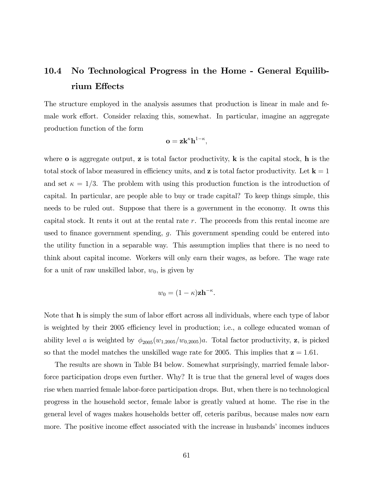## 10.4 No Technological Progress in the Home - General Equilibrium Effects

The structure employed in the analysis assumes that production is linear in male and female work effort. Consider relaxing this, somewhat. In particular, imagine an aggregate production function of the form

$$
\mathbf{o}=\mathbf{z}\mathbf{k}^{\kappa}\mathbf{h}^{1-\kappa},
$$

where **o** is aggregate output, **z** is total factor productivity, **k** is the capital stock, **h** is the total stock of labor measured in efficiency units, and **z** is total factor productivity. Let  $\mathbf{k} = 1$ and set  $\kappa = 1/3$ . The problem with using this production function is the introduction of capital. In particular, are people able to buy or trade capital? To keep things simple, this needs to be ruled out. Suppose that there is a government in the economy. It owns this capital stock. It rents it out at the rental rate  $r$ . The proceeds from this rental income are used to finance government spending,  $g$ . This government spending could be entered into the utility function in a separable way. This assumption implies that there is no need to think about capital income. Workers will only earn their wages, as before. The wage rate for a unit of raw unskilled labor,  $w_0$ , is given by

$$
w_0 = (1 - \kappa) \mathbf{z} \mathbf{h}^{-\kappa}.
$$

Note that  **is simply the sum of labor effort across all individuals, where each type of labor** is weighted by their 2005 efficiency level in production; i.e., a college educated woman of ability level a is weighted by  $\phi_{2005}(w_{1,2005}/w_{0,2005})$ a. Total factor productivity, z, is picked so that the model matches the unskilled wage rate for 2005. This implies that  $z = 1.61$ .

The results are shown in Table B4 below. Somewhat surprisingly, married female laborforce participation drops even further. Why? It is true that the general level of wages does rise when married female labor-force participation drops. But, when there is no technological progress in the household sector, female labor is greatly valued at home. The rise in the general level of wages makes households better off, ceteris paribus, because males now earn more. The positive income effect associated with the increase in husbands' incomes induces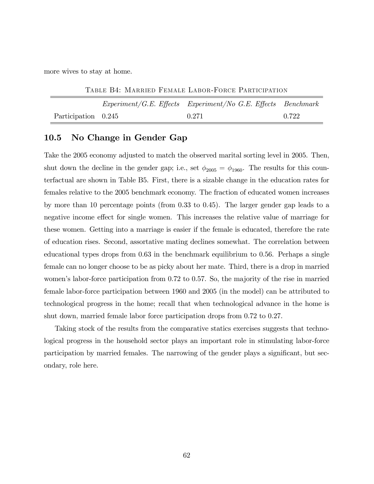more wives to stay at home.

Table B4: Married Female Labor-Force Participation

|                     | $Experiment/G.E.$ Effects Experiment/No G.E. Effects Benchmark |       |
|---------------------|----------------------------------------------------------------|-------|
| Participation 0.245 | 0.271                                                          | 0.722 |

#### 10.5 No Change in Gender Gap

Take the 2005 economy adjusted to match the observed marital sorting level in 2005. Then, shut down the decline in the gender gap; i.e., set  $\phi_{2005} = \phi_{1960}$ . The results for this counterfactual are shown in Table B5. First, there is a sizable change in the education rates for females relative to the 2005 benchmark economy. The fraction of educated women increases by more than 10 percentage points (from 0.33 to 0.45). The larger gender gap leads to a negative income effect for single women. This increases the relative value of marriage for these women. Getting into a marriage is easier if the female is educated, therefore the rate of education rises. Second, assortative mating declines somewhat. The correlation between educational types drops from 0.63 in the benchmark equilibrium to 0.56. Perhaps a single female can no longer choose to be as picky about her mate. Third, there is a drop in married women's labor-force participation from 0.72 to 0.57. So, the majority of the rise in married female labor-force participation between 1960 and 2005 (in the model) can be attributed to technological progress in the home; recall that when technological advance in the home is shut down, married female labor force participation drops from 0.72 to 0.27.

Taking stock of the results from the comparative statics exercises suggests that technological progress in the household sector plays an important role in stimulating labor-force participation by married females. The narrowing of the gender plays a significant, but secondary, role here.